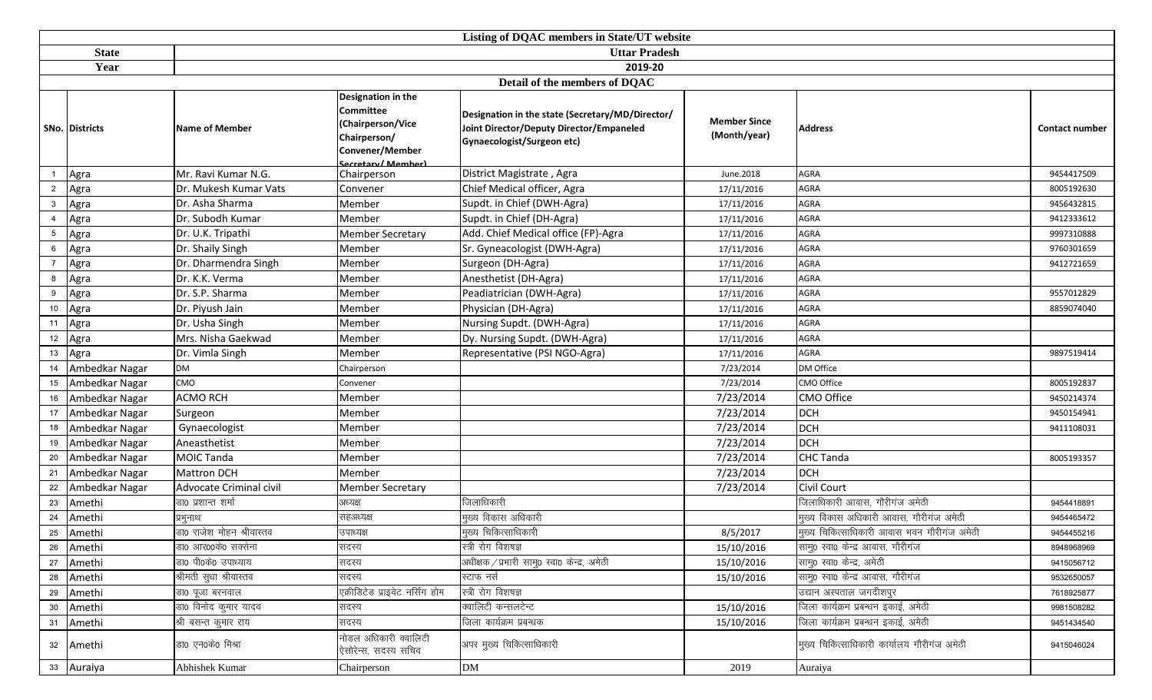|                | Listing of DQAC members in State/UT website |                           |                                                                                                                            |                                                                                                                            |                                     |                                             |                |  |  |  |  |
|----------------|---------------------------------------------|---------------------------|----------------------------------------------------------------------------------------------------------------------------|----------------------------------------------------------------------------------------------------------------------------|-------------------------------------|---------------------------------------------|----------------|--|--|--|--|
|                | <b>State</b>                                |                           |                                                                                                                            | <b>Uttar Pradesh</b>                                                                                                       |                                     |                                             |                |  |  |  |  |
|                | Year                                        | 2019-20                   |                                                                                                                            |                                                                                                                            |                                     |                                             |                |  |  |  |  |
|                |                                             |                           |                                                                                                                            | Detail of the members of DQAC                                                                                              |                                     |                                             |                |  |  |  |  |
|                | SNo. Districts                              | <b>Name of Member</b>     | <b>Designation in the</b><br><b>Committee</b><br>(Chairperson/Vice<br>Chairperson/<br>Convener/Member<br>Secretary/Member) | Designation in the state (Secretary/MD/Director/<br>Joint Director/Deputy Director/Empaneled<br>Gynaecologist/Surgeon etc) | <b>Member Since</b><br>(Month/year) | <b>Address</b>                              | Contact number |  |  |  |  |
|                | Agra                                        | Mr. Ravi Kumar N.G.       | Chairperson                                                                                                                | District Magistrate, Agra                                                                                                  | June.2018                           | <b>AGRA</b>                                 | 9454417509     |  |  |  |  |
| $\overline{2}$ | Agra                                        | Dr. Mukesh Kumar Vats     | Convener                                                                                                                   | Chief Medical officer, Agra                                                                                                | 17/11/2016                          | AGRA                                        | 8005192630     |  |  |  |  |
| 3              | Agra                                        | Dr. Asha Sharma           | Member                                                                                                                     | Supdt. in Chief (DWH-Agra)                                                                                                 | 17/11/2016                          | AGRA                                        | 9456432815     |  |  |  |  |
|                | Agra                                        | Dr. Subodh Kumar          | Member                                                                                                                     | Supdt. in Chief (DH-Agra)                                                                                                  | 17/11/2016                          | <b>AGRA</b>                                 | 9412333612     |  |  |  |  |
| 5              | Agra                                        | Dr. U.K. Tripathi         | <b>Member Secretary</b>                                                                                                    | Add. Chief Medical office (FP)-Agra                                                                                        | 17/11/2016                          | <b>AGRA</b>                                 | 9997310888     |  |  |  |  |
| 6              | Agra                                        | Dr. Shaily Singh          | Member                                                                                                                     | Sr. Gyneacologist (DWH-Agra)                                                                                               | 17/11/2016                          | AGRA                                        | 9760301659     |  |  |  |  |
|                | Agra                                        | Dr. Dharmendra Singh      | Member                                                                                                                     | Surgeon (DH-Agra)                                                                                                          | 17/11/2016                          | AGRA                                        | 9412721659     |  |  |  |  |
| 8              | Agra                                        | Dr. K.K. Verma            | Member                                                                                                                     | Anesthetist (DH-Agra)                                                                                                      | 17/11/2016                          | <b>AGRA</b>                                 |                |  |  |  |  |
| 9              | Agra                                        | Dr. S.P. Sharma           | Member                                                                                                                     | Peadiatrician (DWH-Agra)                                                                                                   | 17/11/2016                          | AGRA                                        | 9557012829     |  |  |  |  |
| 10             | Agra                                        | Dr. Piyush Jain           | Member                                                                                                                     | Physician (DH-Agra)                                                                                                        | 17/11/2016                          | AGRA                                        | 8859074040     |  |  |  |  |
| 11             | Agra                                        | Dr. Usha Singh            | Member                                                                                                                     | Nursing Supdt. (DWH-Agra)                                                                                                  | 17/11/2016                          | AGRA                                        |                |  |  |  |  |
| 12             | Agra                                        | Mrs. Nisha Gaekwad        | Member                                                                                                                     | Dy. Nursing Supdt. (DWH-Agra)                                                                                              | 17/11/2016                          | AGRA                                        |                |  |  |  |  |
| 13             | Agra                                        | Dr. Vimla Singh           | Member                                                                                                                     | Representative (PSI NGO-Agra)                                                                                              | 17/11/2016                          | AGRA                                        | 9897519414     |  |  |  |  |
| 14             | Ambedkar Nagar                              | <b>DM</b>                 | Chairperson                                                                                                                |                                                                                                                            | 7/23/2014                           | <b>DM Office</b>                            |                |  |  |  |  |
| 15             | Ambedkar Nagar                              | CMO                       | Convener                                                                                                                   |                                                                                                                            | 7/23/2014                           | CMO Office                                  | 8005192837     |  |  |  |  |
| 16             | Ambedkar Nagar                              | <b>ACMO RCH</b>           | Member                                                                                                                     |                                                                                                                            | 7/23/2014                           | <b>CMO Office</b>                           | 9450214374     |  |  |  |  |
| 17             | Ambedkar Nagar                              | Surgeon                   | Member                                                                                                                     |                                                                                                                            | 7/23/2014                           | DCH                                         | 9450154941     |  |  |  |  |
| 18             | Ambedkar Nagar                              | Gynaecologist             | Member                                                                                                                     |                                                                                                                            | 7/23/2014                           | <b>DCH</b>                                  | 9411108031     |  |  |  |  |
| 19             | Ambedkar Nagar                              | Aneasthetist              | Member                                                                                                                     |                                                                                                                            | 7/23/2014                           | <b>DCH</b>                                  |                |  |  |  |  |
| 20             | Ambedkar Nagar                              | <b>MOIC Tanda</b>         | Member                                                                                                                     |                                                                                                                            | 7/23/2014                           | <b>CHC Tanda</b>                            | 8005193357     |  |  |  |  |
| 21             | Ambedkar Nagar                              | <b>Mattron DCH</b>        | Member                                                                                                                     |                                                                                                                            | 7/23/2014                           | <b>DCH</b>                                  |                |  |  |  |  |
| 22             | Ambedkar Nagar                              | Advocate Criminal civil   | <b>Member Secretary</b>                                                                                                    |                                                                                                                            | 7/23/2014                           | Civil Court                                 |                |  |  |  |  |
| 23             | Amethi                                      | डा0 प्रशान्त शर्मा        | अध्यक्ष                                                                                                                    | जिलाधिकारी                                                                                                                 |                                     | जिलाधिकारी आवास, गौरीगंज अमेठी              | 9454418891     |  |  |  |  |
| 24             | Amethi                                      | प्रभुनाथ                  | सहअध्यक्ष                                                                                                                  | मुख्य विकास अधिकारी                                                                                                        |                                     | मुख्य विकास अधिकारी आवास, गौरीगंज अमेठी     | 9454465472     |  |  |  |  |
| 25             | Amethi                                      | डा0 राजेश मोहन श्रीवास्तव | उपाध्यक्ष                                                                                                                  | मुख्य चिकित्साधिकारी                                                                                                       | 8/5/2017                            | मुख्य चिकित्साधिकारी आवास भवन गौरीगंज अमेठी | 9454455216     |  |  |  |  |
| 26             | Amethi                                      | 'डा0 आर00के0 सक्सेना      | सदस्य                                                                                                                      | स्त्री रोग विशषज्ञ                                                                                                         | 15/10/2016                          | सामु0 स्वा0 केन्द्र आवास, गौरीगंज           | 8948968969     |  |  |  |  |
| 27             | Amethi                                      | डा0 पी0के0 उपाध्याय       | सदस्य                                                                                                                      | अधीक्षक / प्रभारी सामु0 स्वा0 केन्द्र, अमेठी                                                                               | 15/10/2016                          | साम्0 स्वा0 केन्द्र, अमेठी                  | 9415056712     |  |  |  |  |
| 28             | Amethi                                      | श्रीमती सुधा श्रीवास्तव   | सदस्य                                                                                                                      | स्टाफ नर्स                                                                                                                 | 15/10/2016                          | सामु0 स्वा0 केन्द्र आवास, गौरीगंज           | 9532650057     |  |  |  |  |
| 29             | Amethi                                      | डा0 पूजा बरनवाल           | एक्रीडिटेड प्राइवेट नर्सिंग होम                                                                                            | स्त्री रोग विशषज्ञ                                                                                                         |                                     | उद्यान अस्पताल जगदीशपुर                     | 7618925877     |  |  |  |  |
| 30             | Amethi                                      | डा0 विनोद कुमार यादव      | सदस्य                                                                                                                      | क्वालिटी कन्सलटेन्ट                                                                                                        | 15/10/2016                          | जिला कार्यक्रम प्रबन्धन इकाई, अमेठी         | 9981508282     |  |  |  |  |
| 31             | Amethi                                      | श्री बसन्त कुमार राय      | सदस्य                                                                                                                      | जिला कार्यक्रम प्रबन्धक                                                                                                    | 15/10/2016                          | जिला कार्यक्रम प्रबन्धन इकाई, अमेठी         | 9451434540     |  |  |  |  |
| 32             | Amethi                                      | डा0 एन0के0 मिश्रा         | नोडल अधिकारी क्वालिटी<br>ऐसोरेन्स, सदस्य सचिव                                                                              | अपर मुख्य चिकित्साधिकारी                                                                                                   |                                     | मुख्य चिकित्साधिकारी कार्यालय गौरीगंज अमेठी | 9415046024     |  |  |  |  |
| 33             | Auraiya                                     | Abhishek Kumar            | Chairperson                                                                                                                | <b>DM</b>                                                                                                                  | 2019                                | Auraiya                                     |                |  |  |  |  |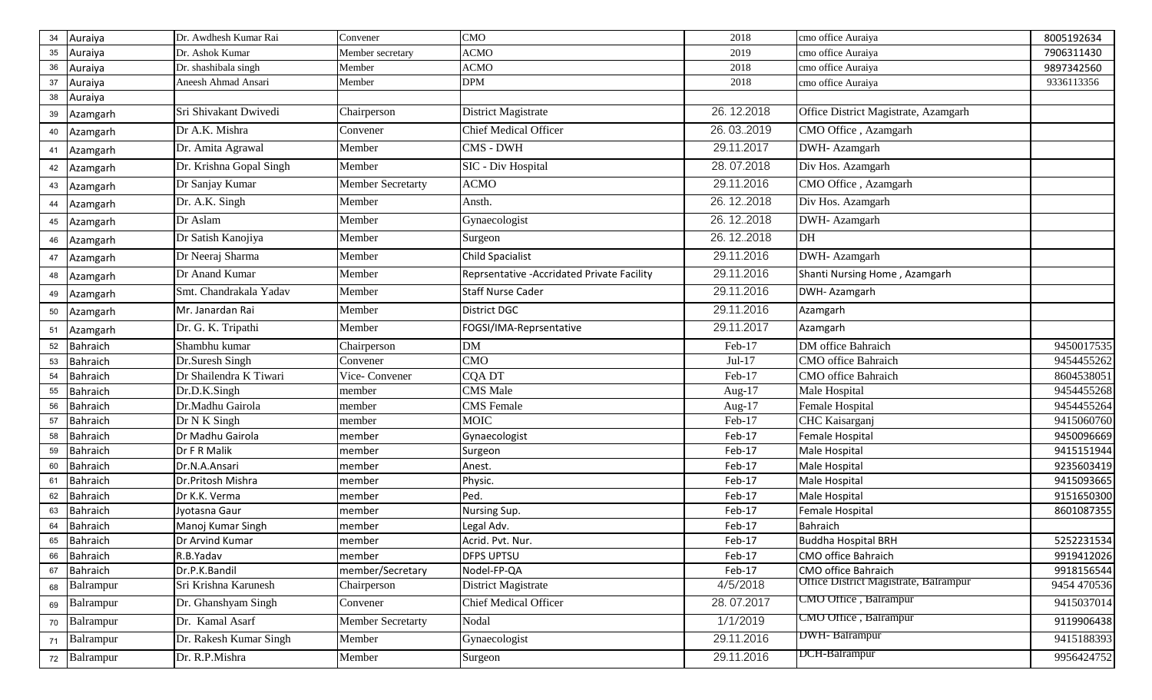| 34 | Auraiya         | Dr. Awdhesh Kumar Rai   | Convener                 | <b>CMO</b>                                  | 2018       | cmo office Auraiya                    | 8005192634  |
|----|-----------------|-------------------------|--------------------------|---------------------------------------------|------------|---------------------------------------|-------------|
| 35 | Auraiya         | Dr. Ashok Kumar         | Member secretary         | <b>ACMO</b>                                 | 2019       | cmo office Auraiya                    | 7906311430  |
| 36 | Auraiya         | Dr. shashibala singh    | Member                   | <b>ACMO</b>                                 | 2018       | cmo office Auraiya                    | 9897342560  |
| 37 | Auraiya         | Aneesh Ahmad Ansari     | Member                   | <b>DPM</b>                                  | 2018       | cmo office Auraiya                    | 9336113356  |
| 38 | Auraiya         |                         |                          |                                             |            |                                       |             |
| 39 | Azamgarh        | Sri Shivakant Dwivedi   | Chairperson              | District Magistrate                         | 26.12.2018 | Office District Magistrate, Azamgarh  |             |
| 40 | Azamgarh        | Dr A.K. Mishra          | Convener                 | <b>Chief Medical Officer</b>                | 26.03.2019 | CMO Office, Azamgarh                  |             |
| 41 | Azamgarh        | Dr. Amita Agrawal       | Member                   | CMS - DWH                                   | 29.11.2017 | DWH- Azamgarh                         |             |
| 42 | Azamgarh        | Dr. Krishna Gopal Singh | Member                   | SIC - Div Hospital                          | 28.07.2018 | Div Hos. Azamgarh                     |             |
| 43 | Azamgarh        | Dr Sanjay Kumar         | <b>Member Secretarty</b> | <b>ACMO</b>                                 | 29.11.2016 | CMO Office, Azamgarh                  |             |
| 44 | Azamgarh        | Dr. A.K. Singh          | Member                   | Ansth.                                      | 26.12.2018 | Div Hos. Azamgarh                     |             |
| 45 | Azamgarh        | Dr Aslam                | Member                   | Gynaecologist                               | 26.12.2018 | DWH-Azamgarh                          |             |
| 46 | Azamgarh        | Dr Satish Kanojiya      | Member                   | Surgeon                                     | 26.12.2018 | DH                                    |             |
| 47 | Azamgarh        | Dr Neeraj Sharma        | Member                   | <b>Child Spacialist</b>                     | 29.11.2016 | DWH- Azamgarh                         |             |
| 48 | Azamgarh        | Dr Anand Kumar          | Member                   | Reprsentative - Accridated Private Facility | 29.11.2016 | Shanti Nursing Home, Azamgarh         |             |
| 49 | Azamgarh        | Smt. Chandrakala Yadav  | Member                   | <b>Staff Nurse Cader</b>                    | 29.11.2016 | DWH- Azamgarh                         |             |
| 50 | Azamgarh        | Mr. Janardan Rai        | Member                   | <b>District DGC</b>                         | 29.11.2016 | Azamgarh                              |             |
| 51 | Azamgarh        | Dr. G. K. Tripathi      | Member                   | FOGSI/IMA-Reprsentative                     | 29.11.2017 | Azamgarh                              |             |
| 52 | <b>Bahraich</b> | Shambhu kumar           | Chairperson              | <b>DM</b>                                   | Feb-17     | DM office Bahraich                    | 9450017535  |
| 53 | Bahraich        | Dr.Suresh Singh         | Convener                 | <b>CMO</b>                                  | $Jul-17$   | CMO office Bahraich                   | 9454455262  |
| 54 | Bahraich        | Dr Shailendra K Tiwari  | Vice-Convener            | CQA DT                                      | Feb-17     | <b>CMO</b> office Bahraich            | 8604538051  |
| 55 | <b>Bahraich</b> | Dr.D.K.Singh            | member                   | <b>CMS</b> Male                             | Aug- $17$  | Male Hospital                         | 9454455268  |
| 56 | <b>Bahraich</b> | Dr.Madhu Gairola        | member                   | <b>CMS</b> Female                           | Aug- $17$  | Female Hospital                       | 9454455264  |
| 57 | <b>Bahraich</b> | Dr N K Singh            | member                   | <b>MOIC</b>                                 | Feb-17     | CHC Kaisarganj                        | 9415060760  |
| 58 | <b>Bahraich</b> | Dr Madhu Gairola        | member                   | Gynaecologist                               | Feb-17     | Female Hospital                       | 9450096669  |
| 59 | Bahraich        | Dr F R Malik            | member                   | Surgeon                                     | Feb-17     | Male Hospital                         | 9415151944  |
| 60 | <b>Bahraich</b> | Dr.N.A.Ansari           | member                   | Anest.                                      | Feb-17     | Male Hospital                         | 9235603419  |
| 61 | Bahraich        | Dr.Pritosh Mishra       | member                   | Physic.                                     | Feb-17     | Male Hospital                         | 9415093665  |
| 62 | <b>Bahraich</b> | Dr K.K. Verma           | member                   | Ped.                                        | Feb-17     | Male Hospital                         | 9151650300  |
| 63 | Bahraich        | Jyotasna Gaur           | member                   | Nursing Sup.                                | Feb-17     | Female Hospital                       | 8601087355  |
| 64 | <b>Bahraich</b> | Manoj Kumar Singh       | member                   | Legal Adv.                                  | Feb-17     | Bahraich                              |             |
|    | 65 Bahraich     | Dr Arvind Kumar         | member                   | Acrid. Pvt. Nur.                            | Feb-17     | <b>Buddha Hospital BRH</b>            | 5252231534  |
|    | 66 Bahraich     | R.B.Yadav               | member                   | <b>DFPS UPTSU</b>                           | Feb-17     | <b>CMO office Bahraich</b>            | 9919412026  |
|    | 67 Bahraich     | Dr.P.K.Bandil           | member/Secretary         | Nodel-FP-QA                                 | Feb-17     | CMO office Bahraich                   | 9918156544  |
| 68 | Balrampur       | Sri Krishna Karunesh    | Chairperson              | District Magistrate                         | 4/5/2018   | Office District Magistrate, Balrampur | 9454 470536 |
| 69 | Balrampur       | Dr. Ghanshyam Singh     | Convener                 | <b>Chief Medical Officer</b>                | 28.07.2017 | CMO Office, Balrampur                 | 9415037014  |
|    | 70 Balrampur    | Dr. Kamal Asarf         | Member Secretarty        | Nodal                                       | 1/1/2019   | CMO Office, Balrampur                 | 9119906438  |
|    | 71 Balrampur    | Dr. Rakesh Kumar Singh  | Member                   | Gynaecologist                               | 29.11.2016 | <b>DWH-Balrampur</b>                  | 9415188393  |
|    | 72 Balrampur    | Dr. R.P.Mishra          | Member                   | Surgeon                                     | 29.11.2016 | <b>DCH-Balrampur</b>                  | 9956424752  |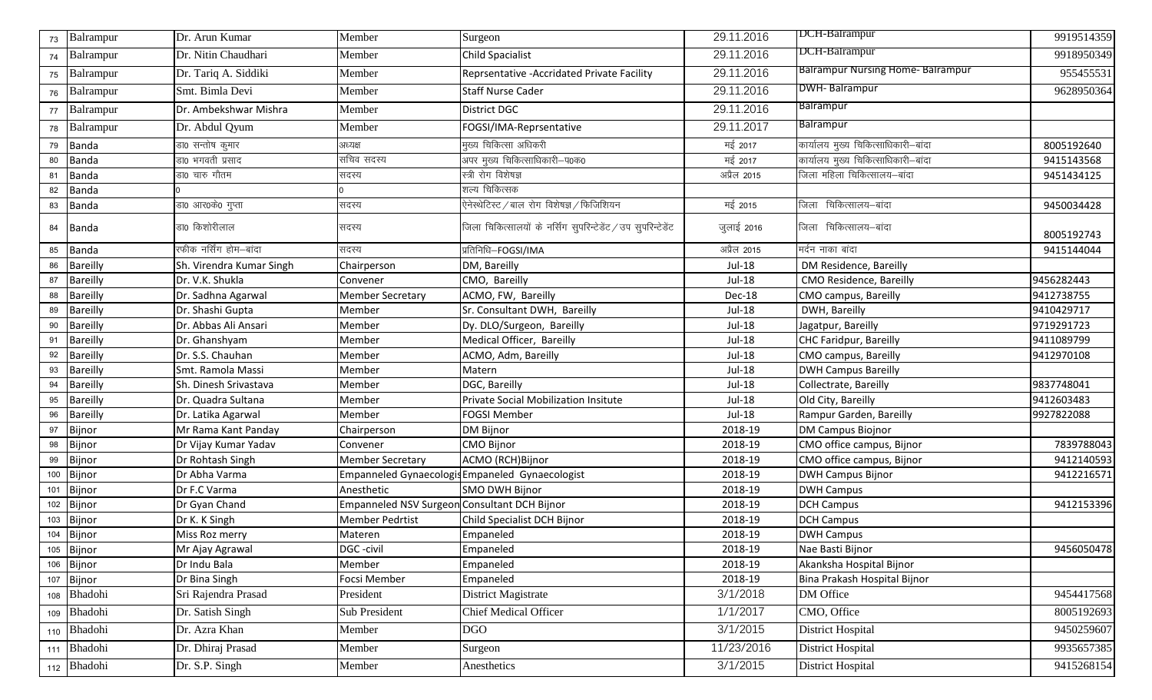| 73  | Balrampur       | Dr. Arun Kumar           | Member                                       | Surgeon                                                       | 29.11.2016    | DCH-Balrampur                           | 9919514359 |
|-----|-----------------|--------------------------|----------------------------------------------|---------------------------------------------------------------|---------------|-----------------------------------------|------------|
| 74  | Balrampur       | Dr. Nitin Chaudhari      | Member                                       | <b>Child Spacialist</b>                                       | 29.11.2016    | <b>DCH-Balrampur</b>                    | 9918950349 |
| 75  | Balrampur       | Dr. Tariq A. Siddiki     | Member                                       | Reprsentative - Accridated Private Facility                   | 29.11.2016    | <b>Balrampur Nursing Home-Balrampur</b> | 955455531  |
| 76  | Balrampur       | Smt. Bimla Devi          | Member                                       | <b>Staff Nurse Cader</b>                                      | 29.11.2016    | DWH-Balrampur                           | 9628950364 |
| 77  | Balrampur       | Dr. Ambekshwar Mishra    | Member                                       | <b>District DGC</b>                                           | 29.11.2016    | <b>Balrampur</b>                        |            |
| 78  | Balrampur       | Dr. Abdul Qyum           | Member                                       | FOGSI/IMA-Reprsentative                                       | 29.11.2017    | <b>Balrampur</b>                        |            |
| 79  | <b>Banda</b>    | डा0 सन्तोष कुमार         | अध्यक्ष                                      | मुख्य चिकित्सा अधिकरी                                         | मई 2017       | कार्यालय मुख्य चिकित्साधिकारी-बांदा     | 8005192640 |
| 80  | Banda           | डा0 भगवती प्रसाद         | सचिव सदस्य                                   | अपर मुख्य चिकित्साधिकारी—प0क0                                 | मई 2017       | कार्यालय मुख्य चिकित्साधिकारी-बांदा     | 9415143568 |
| 81  | Banda           | डा0 चारु गौतम            | सदस्य                                        | स्त्री रोग विशेषज्ञ                                           | अप्रैल 2015   | जिला महिला चिकित्सालय–बांदा             | 9451434125 |
| 82  | Banda           |                          |                                              | शल्य चिकित्सक                                                 |               |                                         |            |
| 83  | Banda           | डा0 आर0के0 गुप्ता        | सदस्य                                        | .<br>ऐनेस्थेटिस्ट / बाल रोग विशेषज्ञ / फिजिशियन               | मई 2015       | जिला चिकित्सालय–बांदा                   | 9450034428 |
| 84  | Banda           | डा0 किशोरीलाल            | सदस्य                                        | जिला चिकित्सालयों के नर्सिंग सुपरिन्टेडेंट / उप सुपरिन्टेडेंट | जुलाई 2016    | जिला चिकित्सालय-बांदा                   | 8005192743 |
| 85  | <b>Banda</b>    | रफीक नर्सिंग होम–बांदा   | सदस्य                                        | प्रतिनिधि-FOGSI/IMA                                           | अप्रैल 2015   | मर्दन नाका बांदा                        | 9415144044 |
| 86  | <b>Bareilly</b> | Sh. Virendra Kumar Singh | Chairperson                                  | DM, Bareilly                                                  | Jul-18        | DM Residence, Bareilly                  |            |
| 87  | <b>Bareilly</b> | Dr. V.K. Shukla          | Convener                                     | CMO, Bareilly                                                 | $Jul-18$      | CMO Residence, Bareilly                 | 9456282443 |
| 88  | <b>Bareilly</b> | Dr. Sadhna Agarwal       | <b>Member Secretary</b>                      | ACMO, FW, Bareilly                                            | Dec-18        | CMO campus, Bareilly                    | 9412738755 |
| 89  | Bareilly        | Dr. Shashi Gupta         | Member                                       | Sr. Consultant DWH, Bareilly                                  | <b>Jul-18</b> | DWH, Bareilly                           | 9410429717 |
| 90  | Bareilly        | Dr. Abbas Ali Ansari     | Member                                       | Dy. DLO/Surgeon, Bareilly                                     | $Jul-18$      | Jagatpur, Bareilly                      | 9719291723 |
| 91  | Bareilly        | Dr. Ghanshyam            | Member                                       | Medical Officer, Bareilly                                     | Jul-18        | <b>CHC Faridpur, Bareilly</b>           | 9411089799 |
| 92  | Bareilly        | Dr. S.S. Chauhan         | Member                                       | ACMO, Adm, Bareilly                                           | Jul-18        | CMO campus, Bareilly                    | 9412970108 |
| 93  | Bareilly        | Smt. Ramola Massi        | Member                                       | Matern                                                        | Jul-18        | <b>DWH Campus Bareilly</b>              |            |
| 94  | Bareilly        | Sh. Dinesh Srivastava    | Member                                       | DGC, Bareilly                                                 | $Jul-18$      | Collectrate, Bareilly                   | 9837748041 |
| 95  | Bareilly        | Dr. Quadra Sultana       | Member                                       | Private Social Mobilization Insitute                          | Jul-18        | Old City, Bareilly                      | 9412603483 |
| 96  | Bareilly        | Dr. Latika Agarwal       | Member                                       | <b>FOGSI Member</b>                                           | $Jul-18$      | Rampur Garden, Bareilly                 | 9927822088 |
| 97  | Bijnor          | Mr Rama Kant Panday      | Chairperson                                  | <b>DM Bijnor</b>                                              | 2018-19       | <b>DM Campus Biojnor</b>                |            |
| 98  | Bijnor          | Dr Vijay Kumar Yadav     | Convener                                     | <b>CMO Bijnor</b>                                             | 2018-19       | CMO office campus, Bijnor               | 7839788043 |
| 99  | Bijnor          | Dr Rohtash Singh         | <b>Member Secretary</b>                      | ACMO (RCH)Bijnor                                              | 2018-19       | CMO office campus, Bijnor               | 9412140593 |
| 100 | Bijnor          | Dr Abha Varma            |                                              | Empanneled Gynaecologis Empaneled Gynaecologist               | 2018-19       | <b>DWH Campus Bijnor</b>                | 9412216571 |
| 101 | Bijnor          | Dr F.C Varma             | Anesthetic                                   | SMO DWH Bijnor                                                | 2018-19       | <b>DWH Campus</b>                       |            |
| 102 | Bijnor          | Dr Gyan Chand            | Empanneled NSV Surgeon Consultant DCH Bijnor |                                                               | 2018-19       | <b>DCH Campus</b>                       | 9412153396 |
| 103 | Bijnor          | Dr K. K Singh            | <b>Member Pedrtist</b>                       | Child Specialist DCH Bijnor                                   | 2018-19       | <b>DCH</b> Campus                       |            |
|     | 104 Bijnor      | Miss Roz merry           | Materen                                      | Empaneled                                                     | 2018-19       | <b>DWH Campus</b>                       |            |
|     | 105 Bijnor      | Mr Ajay Agrawal          | DGC-civil                                    | Empaneled                                                     | 2018-19       | Nae Basti Bijnor                        | 9456050478 |
|     | 106 Bijnor      | Dr Indu Bala             | Member                                       | Empaneled                                                     | 2018-19       | Akanksha Hospital Bijnor                |            |
|     | 107 Bijnor      | Dr Bina Singh            | Focsi Member                                 | Empaneled                                                     | 2018-19       | Bina Prakash Hospital Bijnor            |            |
|     | 108 Bhadohi     | Sri Rajendra Prasad      | President                                    | District Magistrate                                           | 3/1/2018      | DM Office                               | 9454417568 |
|     | 109 Bhadohi     | Dr. Satish Singh         | Sub President                                | <b>Chief Medical Officer</b>                                  | 1/1/2017      | CMO, Office                             | 8005192693 |
|     | 110 Bhadohi     | Dr. Azra Khan            | Member                                       | <b>DGO</b>                                                    | 3/1/2015      | District Hospital                       | 9450259607 |
|     | 111 Bhadohi     | Dr. Dhiraj Prasad        | Member                                       | Surgeon                                                       | 11/23/2016    | <b>District Hospital</b>                | 9935657385 |
|     | 112 Bhadohi     | Dr. S.P. Singh           | Member                                       | Anesthetics                                                   | 3/1/2015      | <b>District Hospital</b>                | 9415268154 |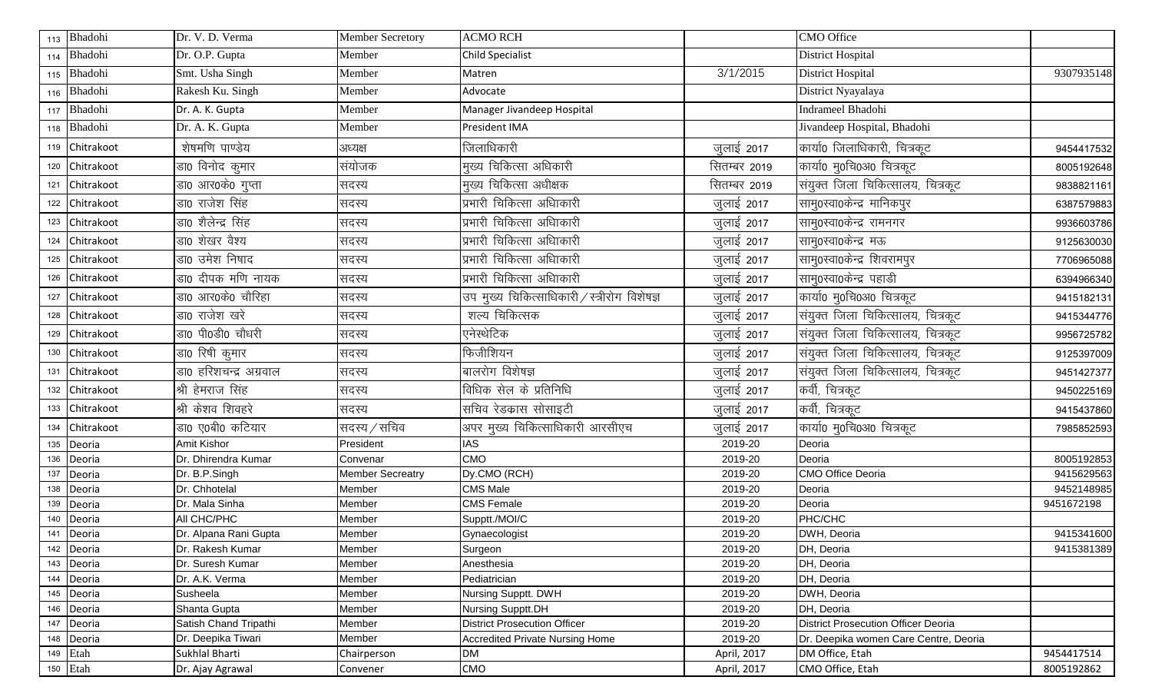|     | 113 Bhadohi | Dr. V. D. Verma        | <b>Member Secretory</b> | <b>ACMO RCH</b>                              |              | CMO Office                                 |            |
|-----|-------------|------------------------|-------------------------|----------------------------------------------|--------------|--------------------------------------------|------------|
|     | 114 Bhadohi | Dr. O.P. Gupta         | Member                  | <b>Child Specialist</b>                      |              | <b>District Hospital</b>                   |            |
|     | 115 Bhadohi | Smt. Usha Singh        | Member                  | Matren                                       | 3/1/2015     | <b>District Hospital</b>                   | 9307935148 |
|     | 116 Bhadohi | Rakesh Ku. Singh       | Member                  | Advocate                                     |              | District Nyayalaya                         |            |
|     | 117 Bhadohi | Dr. A. K. Gupta        | Member                  | Manager Jivandeep Hospital                   |              | <b>Indrameel Bhadohi</b>                   |            |
|     | 118 Bhadohi | Dr. A. K. Gupta        | Member                  | President IMA                                |              | Jivandeep Hospital, Bhadohi                |            |
| 119 | Chitrakoot  | शेषमणि पाण्डेय         | अध्यक्ष                 | जिलाधिकारी                                   | जुलाई 2017   | कार्या0 जिलाधिकारी, चित्रकूट               | 9454417532 |
| 120 | Chitrakoot  | डा0 विनोद कुमार        | संयोजक                  | मुख्य चिकित्सा अधिकारी                       | सितम्बर 2019 | कार्या0 मु0चि0अ0 चित्रकूट                  | 8005192648 |
| 121 | Chitrakoot  | डा0 आर0के0 गुप्ता      | सदस्य                   | मुख्य चिकित्सा अधीक्षक                       | सितम्बर 2019 | संयुक्त जिला चिकित्सालय, चित्रकूट          | 9838821161 |
| 122 | Chitrakoot  | डा0 राजेश सिंह         | सदस्य                   | प्रभारी चिकित्सा अधािकारी                    | जुलाई 2017   | सामु0स्वा0केन्द्र मानिकपुर                 | 6387579883 |
| 123 | Chitrakoot  | डा0 शैलेन्द्र सिंह     | सदस्य                   | प्रभारी चिकित्सा अधािकारी                    | जुलाई 2017   | सामु0स्वा0केन्द्र रामनगर                   | 9936603786 |
| 124 | Chitrakoot  | डा0 शेखर वैश्य         | सदस्य                   | प्रभारी चिकित्सा अधािकारी                    | जुलाई 2017   | सामु0स्वा0केन्द्र मऊ                       | 9125630030 |
| 125 | Chitrakoot  | डा0 उमेश निषाद         | सदस्य                   | प्रभारी चिकित्सा अधािकारी                    | जुलाई 2017   | सामु0स्वा0केन्द्र शिवरामपुर                | 7706965088 |
| 126 | Chitrakoot  | डा0 दीपक मणि नायक      | सदस्य                   | प्रभारी चिकित्सा अधािकारी                    | जुलाई 2017   | साम्0स्वा0केन्द्र पहाडी                    | 6394966340 |
| 127 | Chitrakoot  | डा0 आर0के0 चौरिहा      | सदस्य                   | उप मुख्य चिकित्साधिकारी / स्त्रीरोग विशेषज्ञ | जुलाई 2017   | कार्या0 मु0चि0अ0 चित्रकूट                  | 9415182131 |
| 128 | Chitrakoot  | डा0 राजेश खरे          | सदस्य                   | शल्य चिकित्सक                                | जुलाई 2017   | संयुक्त जिला चिकित्सालय, चित्रकूट          | 9415344776 |
| 129 | Chitrakoot  | डा0 पी0डी0 चौधरी       | सदस्य                   | एनेस्थेटिक                                   | जुलाई 2017   | संयुक्त जिला चिकित्सालय, चित्रकूट          | 9956725782 |
| 130 | Chitrakoot  | डा0 रिषी कुमार         | सदस्य                   | फिजीशियन                                     | जुलाई 2017   | संयुक्त जिला चिकित्सालय, चित्रकूट          | 9125397009 |
| 131 | Chitrakoot  | डा0 हरिशचन्द्र अग्रवाल | सदस्य                   | बालरोग विशेषज्ञ                              | जुलाई 2017   | संयुक्त जिला चिकित्सालय, चित्रकूट          | 9451427377 |
| 132 | Chitrakoot  | श्री हेमराज सिंह       | सदस्य                   | विधिक सेल के प्रतिनिधि                       | जुलाई 2017   | कर्वी, चित्रकूट                            | 9450225169 |
| 133 | Chitrakoot  | श्री केशव शिवहरे       | सदस्य                   | सचिव रेडकास सोसाइटी                          | जुलाई 2017   | कर्वी, चित्रकूट                            | 9415437860 |
| 134 | Chitrakoot  | डा0 ए0बी0 कटियार       | सदस्य ⁄ सचिव            | अपर मुख्य चिकित्साधिकारी आरसीएच              | जुलाई 2017   | कार्या0 मु0चि0अ0 चित्रकूट                  | 7985852593 |
| 135 | Deoria      | Amit Kishor            | President               | <b>IAS</b>                                   | 2019-20      | Deoria                                     |            |
| 136 | Deoria      | Dr. Dhirendra Kumar    | Convenar                | <b>CMO</b>                                   | 2019-20      | Deoria                                     | 8005192853 |
| 137 | Deoria      | Dr. B.P.Singh          | <b>Member Secreatry</b> | Dy.CMO (RCH)                                 | 2019-20      | CMO Office Deoria                          | 9415629563 |
| 138 | Deoria      | Dr. Chhotelal          | Member                  | <b>CMS Male</b>                              | 2019-20      | Deoria                                     | 9452148985 |
| 139 | Deoria      | Dr. Mala Sinha         | Member                  | <b>CMS</b> Female                            | 2019-20      | Deoria                                     | 9451672198 |
|     | Deoria      | All CHC/PHC            | Member                  | Supptt./MOI/C                                | 2019-20      | PHC/CHC                                    |            |
| 141 | Deoria      | Dr. Alpana Rani Gupta  | Member                  | Gynaecologist                                | 2019-20      | DWH, Deoria                                | 9415341600 |
|     | 142 Deoria  | Dr. Rakesh Kumar       | Member                  | Surgeon                                      | 2019-20      | DH, Deoria                                 | 9415381389 |
|     | 143 Deoria  | Dr. Suresh Kumar       | Member                  | Anesthesia                                   | 2019-20      | DH, Deoria                                 |            |
| 144 | Deoria      | Dr. A.K. Verma         | Member                  | Pediatrician                                 | 2019-20      | DH, Deoria                                 |            |
| 145 | Deoria      | Susheela               | Member                  | Nursing Supptt. DWH                          | 2019-20      | DWH, Deoria                                |            |
| 146 | Deoria      | Shanta Gupta           | Member                  | Nursing Supptt.DH                            | 2019-20      | DH, Deoria                                 |            |
| 147 | Deoria      | Satish Chand Tripathi  | Member                  | <b>District Prosecution Officer</b>          | 2019-20      | <b>District Prosecution Officer Deoria</b> |            |
|     | 148 Deoria  | Dr. Deepika Tiwari     | Member                  | <b>Accredited Private Nursing Home</b>       | 2019-20      | Dr. Deepika women Care Centre, Deoria      |            |
| 149 | Etah        | Sukhlal Bharti         | Chairperson             | <b>DM</b>                                    | April, 2017  | DM Office, Etah                            | 9454417514 |
|     | 150 Etah    | Dr. Ajay Agrawal       | Convener                | CMO                                          | April, 2017  | CMO Office, Etah                           | 8005192862 |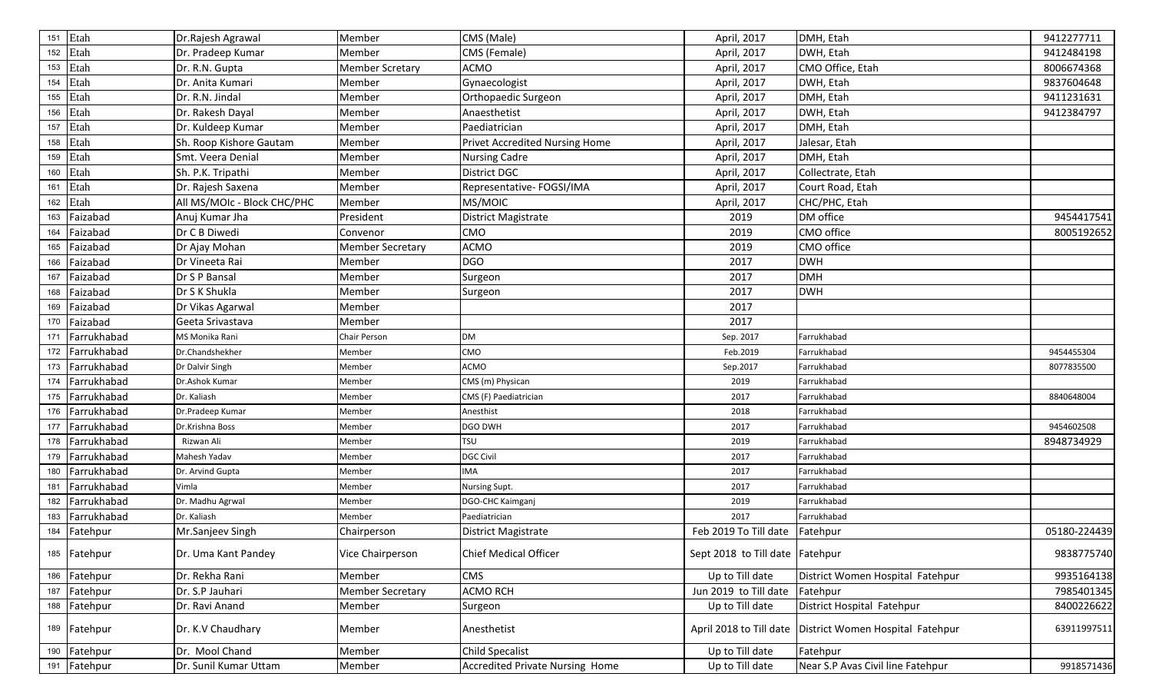| 151 | Etah         | Dr.Rajesh Agrawal           | Member                  | CMS (Male)                             | April, 2017                     | DMH, Etah                         | 9412277711   |
|-----|--------------|-----------------------------|-------------------------|----------------------------------------|---------------------------------|-----------------------------------|--------------|
|     | 152 Etah     | Dr. Pradeep Kumar           | Member                  | CMS (Female)                           | April, 2017                     | DWH, Etah                         | 9412484198   |
|     | 153 Etah     | Dr. R.N. Gupta              | <b>Member Scretary</b>  | <b>ACMO</b>                            | April, 2017                     | CMO Office, Etah                  | 8006674368   |
| 154 | Etah         | Dr. Anita Kumari            | Member                  | Gynaecologist                          | April, 2017                     | DWH, Etah                         | 9837604648   |
|     | 155 Etah     | Dr. R.N. Jindal             | Member                  | Orthopaedic Surgeon                    | April, 2017                     | DMH, Etah                         | 9411231631   |
| 156 | Etah         | Dr. Rakesh Dayal            | Member                  | Anaesthetist                           | April, 2017                     | DWH, Etah                         | 9412384797   |
| 157 | Etah         | Dr. Kuldeep Kumar           | Member                  | Paediatrician                          | April, 2017                     | DMH, Etah                         |              |
| 158 | Etah         | Sh. Roop Kishore Gautam     | Member                  | Privet Accredited Nursing Home         | April, 2017                     | Jalesar, Etah                     |              |
|     | 159 Etah     | Smt. Veera Denial           | Member                  | <b>Nursing Cadre</b>                   | April, 2017                     | DMH, Etah                         |              |
|     | 160 Etah     | Sh. P.K. Tripathi           | Member                  | District DGC                           | April, 2017                     | Collectrate, Etah                 |              |
| 161 | Etah         | Dr. Rajesh Saxena           | Member                  | Representative- FOGSI/IMA              | April, 2017                     | Court Road, Etah                  |              |
| 162 | Etah         | All MS/MOIc - Block CHC/PHC | Member                  | MS/MOIC                                | April, 2017                     | CHC/PHC, Etah                     |              |
| 163 | Faizabad     | Anuj Kumar Jha              | President               | District Magistrate                    | 2019                            | DM office                         | 9454417541   |
| 164 | Faizabad     | Dr C B Diwedi               | Convenor                | CMO                                    | 2019                            | CMO office                        | 8005192652   |
| 165 | Faizabad     | Dr Ajay Mohan               | <b>Member Secretary</b> | <b>ACMO</b>                            | 2019                            | CMO office                        |              |
| 166 | Faizabad     | Dr Vineeta Rai              | Member                  | <b>DGO</b>                             | 2017                            | <b>DWH</b>                        |              |
| 167 | Faizabad     | Dr S P Bansal               | Member                  | Surgeon                                | 2017                            | <b>DMH</b>                        |              |
| 168 | Faizabad     | Dr S K Shukla               | Member                  | Surgeon                                | 2017                            | <b>DWH</b>                        |              |
| 169 | Faizabad     | Dr Vikas Agarwal            | Member                  |                                        | 2017                            |                                   |              |
| 170 | Faizabad     | Geeta Srivastava            | Member                  |                                        | 2017                            |                                   |              |
| 171 | Farrukhabad  | MS Monika Rani              | Chair Person            | <b>DM</b>                              | Sep. 2017                       | Farrukhabad                       |              |
| 172 | Farrukhabad  | Dr.Chandshekher             | Member                  | CMO                                    | Feb.2019                        | Farrukhabad                       | 9454455304   |
| 173 | Farrukhabad  | Dr Dalvir Singh             | Member                  | <b>ACMO</b>                            | Sep.2017                        | Farrukhabad                       | 8077835500   |
| 174 | Farrukhabad  | Dr.Ashok Kumar              | Member                  | CMS (m) Physican                       | 2019                            | Farrukhabad                       |              |
| 175 | Farrukhabad  | Dr. Kaliash                 | Member                  | CMS (F) Paediatrician                  | 2017                            | Farrukhabad                       | 8840648004   |
| 176 | Farrukhabad  | Dr.Pradeep Kumar            | Member                  | Anesthist                              | 2018                            | Farrukhabad                       |              |
| 177 | Farrukhabad  | Dr.Krishna Boss             | Member                  | <b>DGO DWH</b>                         | 2017                            | Farrukhabad                       | 9454602508   |
| 178 | Farrukhabad  | Rizwan Ali                  | Member                  | <b>TSU</b>                             | 2019                            | Farrukhabad                       | 8948734929   |
| 179 | Farrukhabad  | Mahesh Yadav                | Member                  | <b>DGC Civil</b>                       | 2017                            | Farrukhabad                       |              |
| 180 | Farrukhabad  | Dr. Arvind Gupta            | Member                  | <b>IMA</b>                             | 2017                            | Farrukhabad                       |              |
| 181 | Farrukhabad  | Vimla                       | Member                  | Nursing Supt.                          | 2017                            | Farrukhabad                       |              |
| 182 | Farrukhabad  | Dr. Madhu Agrwal            | Member                  | DGO-CHC Kaimganj                       | 2019                            | Farrukhabad                       |              |
| 183 | Farrukhabad  | Dr. Kaliash                 | Member                  | Paediatrician                          | 2017                            | Farrukhabad                       |              |
| 184 | Fatehpur     | Mr.Sanjeev Singh            | Chairperson             | District Magistrate                    | Feb 2019 To Till date           | Fatehpur                          | 05180-224439 |
|     | 185 Fatehpur | Dr. Uma Kant Pandey         | Vice Chairperson        | <b>Chief Medical Officer</b>           | Sept 2018 to Till date Fatehpur |                                   | 9838775740   |
|     | 186 Fatehpur | Dr. Rekha Rani              | Member                  | <b>CMS</b>                             | Up to Till date                 | District Women Hospital Fatehpur  | 9935164138   |
| 187 | Fatehpur     | Dr. S.P Jauhari             | <b>Member Secretary</b> | ACMO RCH                               | Jun 2019 to Till date           | Fatehpur                          | 7985401345   |
| 188 | Fatehpur     | Dr. Ravi Anand              | Member                  | Surgeon                                | Up to Till date                 | District Hospital Fatehpur        | 8400226622   |
|     | 189 Fatehpur | Dr. K.V Chaudhary           | Member                  | Anesthetist                            | April 2018 to Till date         | District Women Hospital Fatehpur  | 63911997511  |
| 190 | Fatehpur     | Dr. Mool Chand              | Member                  | Child Specalist                        | Up to Till date                 | Fatehpur                          |              |
|     | 191 Fatehpur | Dr. Sunil Kumar Uttam       | Member                  | <b>Accredited Private Nursing Home</b> | Up to Till date                 | Near S.P Avas Civil line Fatehpur | 9918571436   |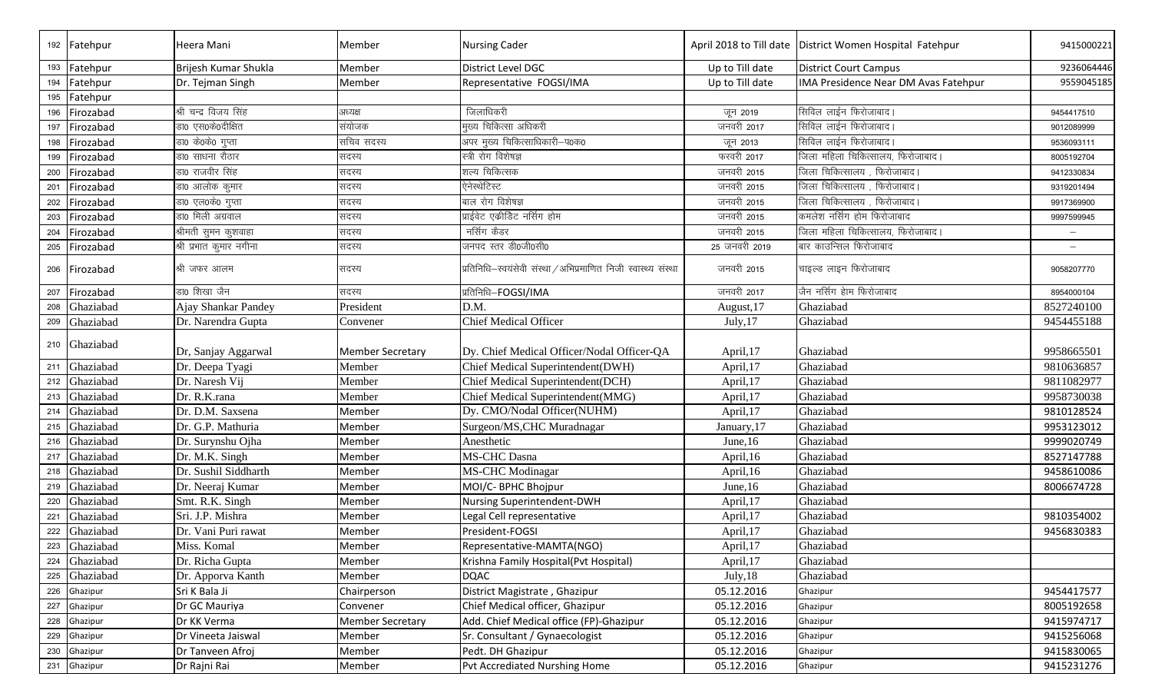|     | 192 Fatehpur  | Heera Mani              | Member                  | <b>Nursing Cader</b>                                           |                 | April 2018 to Till date   District Women Hospital Fatehpur | 9415000221               |
|-----|---------------|-------------------------|-------------------------|----------------------------------------------------------------|-----------------|------------------------------------------------------------|--------------------------|
|     | 193 Fatehpur  | Brijesh Kumar Shukla    | Member                  | District Level DGC                                             | Up to Till date | <b>District Court Campus</b>                               | 9236064446               |
| 194 | Fatehpur      | Dr. Tejman Singh        | Member                  | Representative FOGSI/IMA                                       | Up to Till date | IMA Presidence Near DM Avas Fatehpur                       | 9559045185               |
|     | 195 Fatehpur  |                         |                         |                                                                |                 |                                                            |                          |
| 196 | Firozabad     | श्री चन्द्र विजय सिंह   | अध्यक्ष                 | जिलाधिकरी                                                      | जून 2019        | सिविल लाईन फिरोजाबाद।                                      | 9454417510               |
| 197 | Firozabad     | डा0 एस0के0दीक्षित       | संयोजक                  | मुख्य चिकित्सा अधिकरी                                          | जनवरी 2017      | सिविल लाईन फिरोजाबाद।                                      | 9012089999               |
| 198 | Firozabad     | डा0 के0के0 गुप्ता       | सचिव सदस्य              | अपर मुख्य चिकित्साधिकारी-प0क0                                  | जून 2013        | सिविल लाईन फिरोजाबाद।                                      | 9536093111               |
| 199 | Firozabad     | डा0 साधना रौठार         | सदस्य                   | स्त्री रोग विशेषज्ञ                                            | फरवरी 2017      | जिला महिला चिकित्सालय, फिरोजाबाद।                          | 8005192704               |
| 200 | Firozabad     | डा0 राजवीर सिंह         | सदस्य                   | शल्य चिकित्सक                                                  | जनवरी 2015      | जिला चिकित्सालय , फिरोजाबाद।                               | 9412330834               |
| 201 | Firozabad     | डा0 आलोक कुमार          | सदस्य                   | ऐनेस्थेटिस्ट                                                   | जनवरी 2015      | जिला चिकित्सालय , फिरोजाबाद।                               | 9319201494               |
| 202 | Firozabad     | डा० एल०के० गुप्ता       | सदस्य                   | बाल रोग विशेषज्ञ                                               | जनवरी 2015      | जिला चिकित्सालय , फिरोजाबाद।                               | 9917369900               |
| 203 | Firozabad     | डा0 मिली अग्रवाल        | सदस्य                   | प्राईवेट एकीडिट नर्सिंग होम                                    | जनवरी 2015      | कमलेश नर्सिग होम फिरोजाबाद                                 | 9997599945               |
| 204 | Firozabad     | श्रीमती सुमन कुशवाहा    | सदस्य                   | नर्सिग कैडर                                                    | जनवरी 2015      | जिला महिला चिकित्सालय, फिरोजाबाद।                          | $\overline{\phantom{0}}$ |
| 205 | Firozabad     | श्री प्रभात कुमार नगीना | सदस्य                   | जनपद स्तर डी0जी0सी0                                            | 25 जनवरी 2019   | बार काउन्सिल फिरोजाबाद                                     |                          |
|     | 206 Firozabad | श्री जफर आलम            | सदस्य                   | प्रतिनिधि-स्वयंसेवी संस्था / अभिप्रमाणित निजी स्वास्थ्य संस्था | जनवरी 2015      | चाइल्ड लाइन फिरोजाबाद                                      | 9058207770               |
| 207 | Firozabad     | डा0 शिखा जैन            | सदस्य                   | प्रतिनिधि-FOGSI/IMA                                            | जनवरी 2017      | जैन नर्सिग हेाम फिरोजाबाद                                  | 8954000104               |
| 208 | Ghaziabad     | Ajay Shankar Pandey     | President               | D.M.                                                           | August, 17      | Ghaziabad                                                  | 8527240100               |
| 209 | Ghaziabad     | Dr. Narendra Gupta      | Convener                | <b>Chief Medical Officer</b>                                   | July, 17        | Ghaziabad                                                  | 9454455188               |
|     | 210 Ghaziabad | Dr, Sanjay Aggarwal     | <b>Member Secretary</b> | Dy. Chief Medical Officer/Nodal Officer-QA                     | April,17        | Ghaziabad                                                  | 9958665501               |
| 211 | Ghaziabad     | Dr. Deepa Tyagi         | Member                  | Chief Medical Superintendent(DWH)                              | April,17        | Ghaziabad                                                  | 9810636857               |
|     | 212 Ghaziabad | Dr. Naresh Vij          | Member                  | Chief Medical Superintendent(DCH)                              | April,17        | Ghaziabad                                                  | 9811082977               |
|     | 213 Ghaziabad | Dr. R.K.rana            | Member                  | Chief Medical Superintendent(MMG)                              | April,17        | Ghaziabad                                                  | 9958730038               |
| 214 | Ghaziabad     | Dr. D.M. Saxsena        | Member                  | Dy. CMO/Nodal Officer(NUHM)                                    | April,17        | Ghaziabad                                                  | 9810128524               |
|     | 215 Ghaziabad | Dr. G.P. Mathuria       | Member                  | Surgeon/MS, CHC Muradnagar                                     | January, 17     | Ghaziabad                                                  | 9953123012               |
| 216 | Ghaziabad     | Dr. Surynshu Ojha       | Member                  | Anesthetic                                                     | June, 16        | Ghaziabad                                                  | 9999020749               |
| 217 | Ghaziabad     | Dr. M.K. Singh          | Member                  | <b>MS-CHC Dasna</b>                                            | April, 16       | Ghaziabad                                                  | 8527147788               |
| 218 | Ghaziabad     | Dr. Sushil Siddharth    | Member                  | <b>MS-CHC Modinagar</b>                                        | April,16        | Ghaziabad                                                  | 9458610086               |
| 219 | Ghaziabad     | Dr. Neeraj Kumar        | Member                  | MOI/C- BPHC Bhojpur                                            | June, 16        | Ghaziabad                                                  | 8006674728               |
| 220 | Ghaziabad     | Smt. R.K. Singh         | Member                  | Nursing Superintendent-DWH                                     | April,17        | Ghaziabad                                                  |                          |
| 221 | Ghaziabad     | Sri. J.P. Mishra        | Member                  | Legal Cell representative                                      | April,17        | Ghaziabad                                                  | 9810354002               |
| 222 | Ghaziabad     | Dr. Vani Puri rawat     | Member                  | President-FOGSI                                                | April,17        | Ghaziabad                                                  | 9456830383               |
|     | 223 Ghaziabad | Miss. Komal             | Member                  | Representative-MAMTA(NGO)                                      | April, 17       | Ghaziabad                                                  |                          |
|     | 224 Ghaziabad | Dr. Richa Gupta         | Member                  | Krishna Family Hospital(Pvt Hospital)                          | April,17        | Ghaziabad                                                  |                          |
|     | 225 Ghaziabad | Dr. Apporva Kanth       | Member                  | <b>DQAC</b>                                                    | July, 18        | Ghaziabad                                                  |                          |
|     | 226 Ghazipur  | Sri K Bala Ji           | Chairperson             | District Magistrate, Ghazipur                                  | 05.12.2016      | Ghazipur                                                   | 9454417577               |
| 227 | Ghazipur      | Dr GC Mauriya           | Convener                | Chief Medical officer, Ghazipur                                | 05.12.2016      | Ghazipur                                                   | 8005192658               |
| 228 | Ghazipur      | Dr KK Verma             | <b>Member Secretary</b> | Add. Chief Medical office (FP)-Ghazipur                        | 05.12.2016      | Ghazipur                                                   | 9415974717               |
| 229 | Ghazipur      | Dr Vineeta Jaiswal      | Member                  | Sr. Consultant / Gynaecologist                                 | 05.12.2016      | Ghazipur                                                   | 9415256068               |
| 230 | Ghazipur      | Dr Tanveen Afroj        | Member                  | Pedt. DH Ghazipur                                              | 05.12.2016      | Ghazipur                                                   | 9415830065               |
|     | 231 Ghazipur  | Dr Rajni Rai            | Member                  | Pvt Accrediated Nurshing Home                                  | 05.12.2016      | Ghazipur                                                   | 9415231276               |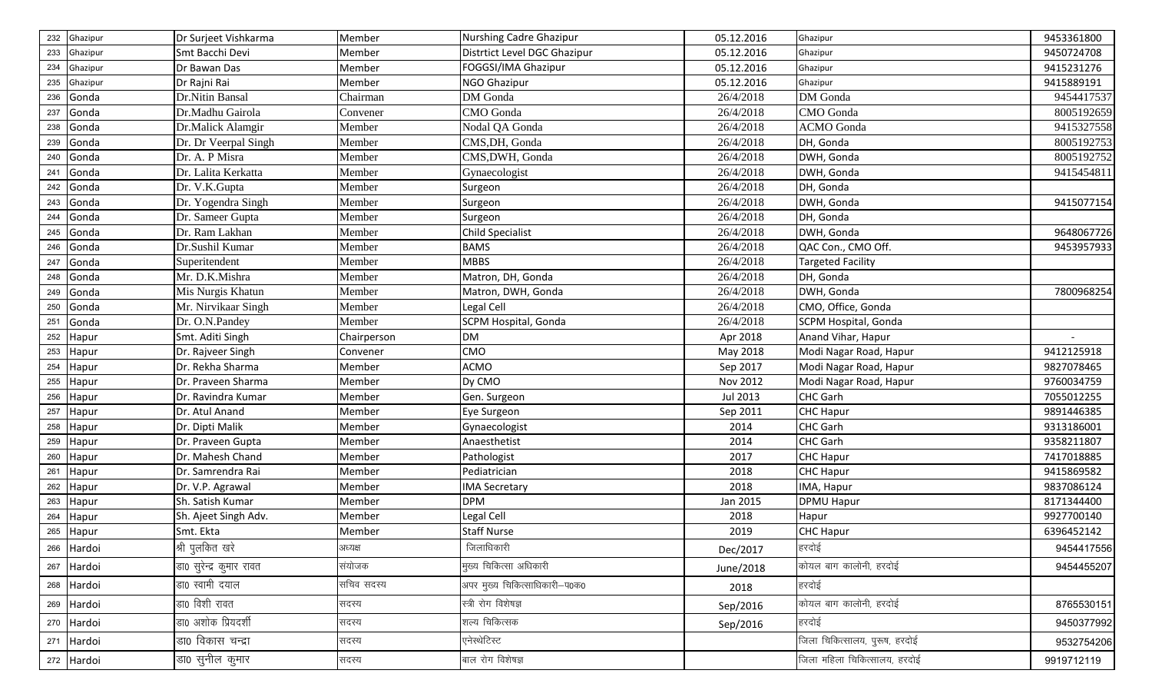| 232 | Ghazipur   | Dr Surjeet Vishkarma     | Member      | <b>Nurshing Cadre Ghazipur</b> | 05.12.2016 | Ghazipur                      | 9453361800 |
|-----|------------|--------------------------|-------------|--------------------------------|------------|-------------------------------|------------|
| 233 | Ghazipur   | Smt Bacchi Devi          | Member      | Distrtict Level DGC Ghazipur   | 05.12.2016 | Ghazipur                      | 9450724708 |
| 234 | Ghazipur   | Dr Bawan Das             | Member      | FOGGSI/IMA Ghazipur            | 05.12.2016 | Ghazipur                      | 9415231276 |
| 235 | Ghazipur   | Dr Rajni Rai             | Member      | NGO Ghazipur                   | 05.12.2016 | Ghazipur                      | 9415889191 |
| 236 | Gonda      | Dr.Nitin Bansal          | Chairman    | DM Gonda                       | 26/4/2018  | DM Gonda                      | 9454417537 |
| 237 | Gonda      | Dr.Madhu Gairola         | Convener    | CMO Gonda                      | 26/4/2018  | CMO Gonda                     | 8005192659 |
| 238 | Gonda      | Dr.Malick Alamgir        | Member      | Nodal QA Gonda                 | 26/4/2018  | <b>ACMO</b> Gonda             | 9415327558 |
| 239 | Gonda      | Dr. Dr Veerpal Singh     | Member      | CMS, DH, Gonda                 | 26/4/2018  | DH, Gonda                     | 8005192753 |
| 240 | Gonda      | Dr. A. P Misra           | Member      | CMS, DWH, Gonda                | 26/4/2018  | DWH, Gonda                    | 8005192752 |
| 241 | Gonda      | Dr. Lalita Kerkatta      | Member      | Gynaecologist                  | 26/4/2018  | DWH, Gonda                    | 9415454811 |
| 242 | Gonda      | Dr. V.K.Gupta            | Member      | Surgeon                        | 26/4/2018  | DH, Gonda                     |            |
| 243 | Gonda      | Dr. Yogendra Singh       | Member      | Surgeon                        | 26/4/2018  | DWH, Gonda                    | 9415077154 |
| 244 | Gonda      | Dr. Sameer Gupta         | Member      | Surgeon                        | 26/4/2018  | DH, Gonda                     |            |
| 245 | Gonda      | Dr. Ram Lakhan           | Member      | <b>Child Specialist</b>        | 26/4/2018  | DWH, Gonda                    | 9648067726 |
| 246 | Gonda      | Dr.Sushil Kumar          | Member      | <b>BAMS</b>                    | 26/4/2018  | QAC Con., CMO Off.            | 9453957933 |
| 247 | Gonda      | Superitendent            | Member      | <b>MBBS</b>                    | 26/4/2018  | <b>Targeted Facility</b>      |            |
| 248 | Gonda      | Mr. D.K.Mishra           | Member      | Matron, DH, Gonda              | 26/4/2018  | DH, Gonda                     |            |
| 249 | Gonda      | Mis Nurgis Khatun        | Member      | Matron, DWH, Gonda             | 26/4/2018  | DWH, Gonda                    | 7800968254 |
| 250 | Gonda      | Mr. Nirvikaar Singh      | Member      | Legal Cell                     | 26/4/2018  | CMO, Office, Gonda            |            |
| 251 | Gonda      | Dr. O.N.Pandey           | Member      | SCPM Hospital, Gonda           | 26/4/2018  | SCPM Hospital, Gonda          |            |
| 252 | Hapur      | Smt. Aditi Singh         | Chairperson | <b>DM</b>                      | Apr 2018   | Anand Vihar, Hapur            |            |
| 253 | Hapur      | Dr. Rajveer Singh        | Convener    | <b>CMO</b>                     | May 2018   | Modi Nagar Road, Hapur        | 9412125918 |
| 254 | Hapur      | Dr. Rekha Sharma         | Member      | <b>ACMO</b>                    | Sep 2017   | Modi Nagar Road, Hapur        | 9827078465 |
| 255 | Hapur      | Dr. Praveen Sharma       | Member      | Dy CMO                         | Nov 2012   | Modi Nagar Road, Hapur        | 9760034759 |
| 256 | Hapur      | Dr. Ravindra Kumar       | Member      | Gen. Surgeon                   | Jul 2013   | CHC Garh                      | 7055012255 |
| 257 | Hapur      | Dr. Atul Anand           | Member      | Eye Surgeon                    | Sep 2011   | CHC Hapur                     | 9891446385 |
| 258 | Hapur      | Dr. Dipti Malik          | Member      | Gynaecologist                  | 2014       | CHC Garh                      | 9313186001 |
| 259 | Hapur      | Dr. Praveen Gupta        | Member      | Anaesthetist                   | 2014       | CHC Garh                      | 9358211807 |
| 260 | Hapur      | Dr. Mahesh Chand         | Member      | Pathologist                    | 2017       | CHC Hapur                     | 7417018885 |
| 261 | Hapur      | Dr. Samrendra Rai        | Member      | Pediatrician                   | 2018       | <b>CHC Hapur</b>              | 9415869582 |
| 262 | Hapur      | Dr. V.P. Agrawal         | Member      | <b>IMA Secretary</b>           | 2018       | IMA, Hapur                    | 9837086124 |
| 263 | Hapur      | Sh. Satish Kumar         | Member      | <b>DPM</b>                     | Jan 2015   | <b>DPMU Hapur</b>             | 8171344400 |
| 264 | Hapur      | Sh. Ajeet Singh Adv.     | Member      | Legal Cell                     | 2018       | Hapur                         | 9927700140 |
| 265 | Hapur      | Smt. Ekta                | Member      | <b>Staff Nurse</b>             | 2019       | <b>CHC Hapur</b>              | 6396452142 |
|     | 266 Hardoi | श्री पुलकित खरे          | अध्यक्ष     | जिलाधिकारी                     | Dec/2017   | हरदोई                         | 9454417556 |
|     | 267 Hardoi | डा0 सुरेन्द्र कुमार रावत | संयोजक      | मुख्य चिकित्सा अधिकारी         | June/2018  | कोयल बाग कालोनी, हरदोई        | 9454455207 |
|     | 268 Hardoi | डा0 स्वामी दयाल          | सचिव सदस्य  | अपर मुख्य चिकित्साधिकारी-प0क0  | 2018       | हरदोई                         |            |
| 269 | Hardoi     | डा0 विशी रावत            | सदस्य       | स्त्री रोग विशेषज्ञ            | Sep/2016   | कोयल बाग कालोनी, हरदोई        | 8765530151 |
|     | 270 Hardoi | डा0 अशोक प्रियदर्शी      | सदस्य       | शल्य चिकित्सक                  | Sep/2016   | हरदोई                         | 9450377992 |
|     | 271 Hardoi | डा0 विकास चन्द्रा        | सदस्य       | एनेस्थेटिस्ट                   |            | जिला चिकित्सालय, पुरूष, हरदोई | 9532754206 |
|     | 272 Hardoi | डा0 सुनील कुमार          | सदस्य       | बाल रोग विशेषज्ञ               |            | जिला महिला चिकित्सालय, हरदोई  | 9919712119 |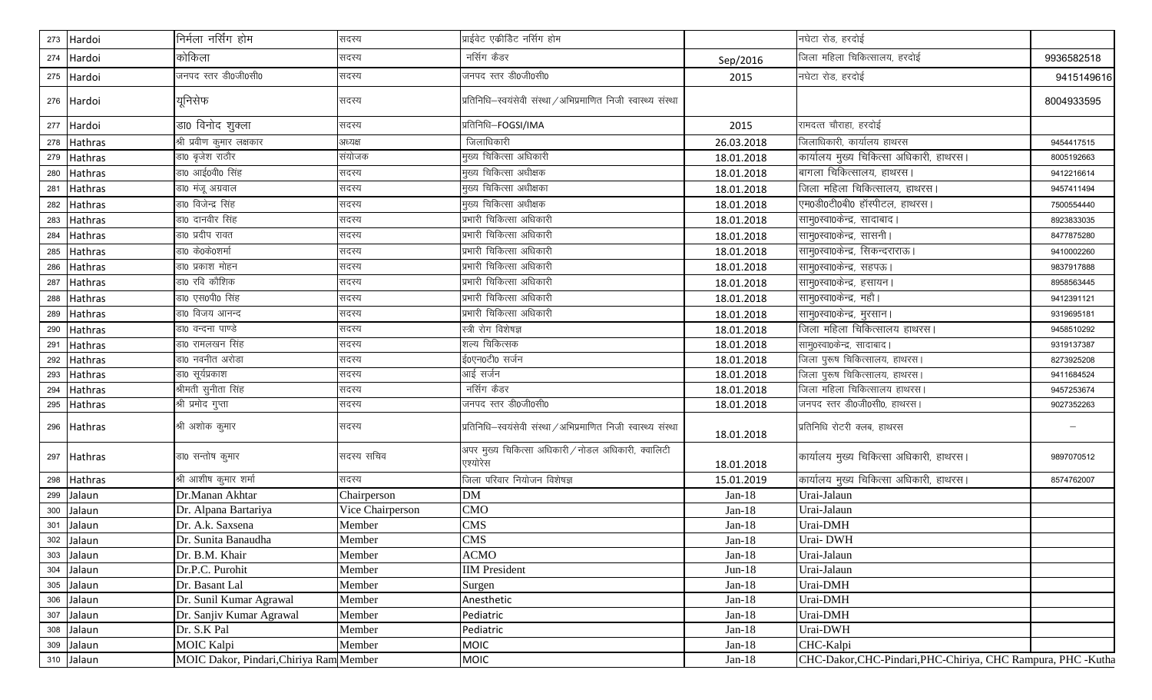|     | 273 Hardoi     | निर्मला नर्सिंग होम                     | सदस्य            | प्राईवेट एकीडिट नर्सिग होम                                      |            | नघेटा रोड, हरदोई                                             |            |
|-----|----------------|-----------------------------------------|------------------|-----------------------------------------------------------------|------------|--------------------------------------------------------------|------------|
|     | 274 Hardoi     | कोकिला                                  | सदस्य            | नर्सिग कैडर                                                     | Sep/2016   | जिला महिला चिकित्सालय, हरदोई                                 | 9936582518 |
|     | 275 Hardoi     | जनपद स्तर डी0जी0सी0                     | सदस्य            | जनपद स्तर डी0जी0सी0                                             | 2015       | नघेटा रोड, हरदोई                                             | 9415149616 |
|     | 276 Hardoi     | यूनिसेफ                                 | सदस्य            | प्रतिनिधि-स्वयंसेवी संस्था / अभिप्रमाणित निजी स्वास्थ्य संस्था  |            |                                                              | 8004933595 |
|     | 277 Hardoi     | डा0 विनोद शुक्ला                        | सदस्य            | प्रतिनिधि-FOGSI/IMA                                             | 2015       | रामदत्त चौराहा, हरदोई                                        |            |
| 278 | <b>Hathras</b> | श्री प्रवीण कुमार लक्षकार               | अध्यक्ष          | जिलाधिकारी                                                      | 26.03.2018 | जिलाधिकारी, कार्यालय हाथरस                                   | 9454417515 |
|     | <b>Hathras</b> | डा0 बृजेश राठौर                         | संयोजक           | मुख्य चिकित्सा अधिकारी                                          | 18.01.2018 | कार्यालय मुख्य चिकित्सा अधिकारी, हाथरस।                      | 8005192663 |
| 280 | <b>Hathras</b> | डा0 आई0वी0 सिंह                         | सदस्य            | मुख्य चिकित्सा अधीक्षक                                          | 18.01.2018 |                                                              | 9412216614 |
| 281 | Hathras        | डा0 मंजू अग्रवाल                        | सदस्य            | मुख्य चिकित्सा अधीक्षका                                         | 18.01.2018 | जिला महिला चिकित्सालय, हाथरस                                 | 9457411494 |
| 282 | <b>Hathras</b> | डा0 विजेन्द्र सिंह                      | सदस्य            | मुख्य चिकित्सा अधीक्षक                                          | 18.01.2018 | एम0डी0टी0बी0 हॉस्पीटल, हाथरस।                                | 7500554440 |
| 283 | <b>Hathras</b> | डा0 दानवीर सिंह                         | सदस्य            | प्रभारी चिकित्सा अधिकारी                                        | 18.01.2018 | सामु0स्वा0केन्द्र, सादाबाद।                                  | 8923833035 |
| 284 | Hathras        | डा0 प्रदीप रावत                         | सदस्य            | प्रभारी चिकित्सा अधिकारी                                        | 18.01.2018 | सामु0स्वा0केन्द्र, सासनी ।                                   | 8477875280 |
| 285 | <b>Hathras</b> | डा0 के0के0शर्मा                         | सदस्य            | प्रभारी चिकित्सा अधिकारी                                        | 18.01.2018 | सामु0स्वा0केन्द्र, सिकन्दराराऊ।                              | 9410002260 |
| 286 | Hathras        | डा0 प्रकाश मोहन                         | सदस्य            | प्रभारी चिकित्सा अधिकारी                                        | 18.01.2018 | सामु0स्वा0केन्द्र, सहपऊ।                                     | 9837917888 |
| 287 | Hathras        | डा0 रवि कौशिक                           | सदस्य            | प्रभारी चिकित्सा अधिकारी                                        | 18.01.2018 | सामु0स्वा0केन्द्र, हसायन।                                    | 8958563445 |
| 288 | Hathras        | डा0 एस0पी0 सिंह                         | सदस्य            | प्रभारी चिकित्सा अधिकारी                                        | 18.01.2018 | सामु0स्वा0केन्द्र, महौ।                                      | 9412391121 |
| 289 | Hathras        | डा0 विजय आनन्द                          | सदस्य            | प्रभारी चिकित्सा अधिकारी                                        | 18.01.2018 | सामु0स्वा0केन्द्र, मुरसान।                                   | 9319695181 |
| 290 | <b>Hathras</b> | डा0 वन्दना पाण्डे                       | सदस्य            | स्त्री रोग विशेषज्ञ                                             | 18.01.2018 | <u>जिला महिला चिकित्सालय हाथरस।</u>                          | 9458510292 |
| 291 | <b>Hathras</b> | डा0 रामलखन सिंह                         | सदस्य            | शल्य चिकित्सक                                                   | 18.01.2018 | सामु0स्वा0केन्द्र, सादाबाद।                                  | 9319137387 |
| 292 | <b>Hathras</b> | डा0 नवनीत अरोडा                         | सदस्य            | ई0एन0टी0 सर्जन                                                  | 18.01.2018 | जिला पुरूष चिकित्सालय, हाथरस।                                | 8273925208 |
| 293 | Hathras        | डा0 सूर्यप्रकाश                         | सदस्य            | आई सर्जन                                                        | 18.01.2018 | जिला पुरूष चिकित्सालय, हाथरस।                                | 9411684524 |
| 294 | <b>Hathras</b> | श्रीमती सुनीता सिंह                     | सदस्य            | नर्सिग कैडर                                                     | 18.01.2018 | जिला महिला चिकित्सालय हाथरस।                                 | 9457253674 |
|     | 295 Hathras    | श्री प्रमोद गुप्ता                      | सदस्य            | जनपद स्तर डी0जी0सी0                                             | 18.01.2018 | जनपद स्तर डी0जी0सी0, हाथरस।                                  | 9027352263 |
|     | 296 Hathras    | श्री अशोक कुमार                         | सदस्य            | प्रतिनिधि-स्वयंसेवी संस्था / अभिप्रमाणित निजी स्वास्थ्य संस्था  | 18.01.2018 | प्रतिनिधि रोटरी क्लब, हाथरस                                  |            |
|     | 297 Hathras    | डा0 सन्तोष कुमार                        | सदस्य सचिव       | अपर मुख्य चिकित्सा अधिकारी / नोडल अधिकारी, क्वालिटी<br>एश्योरेस | 18.01.2018 | कार्यालय मुख्य चिकित्सा अधिकारी, हाथरस।                      | 9897070512 |
| 298 | Hathras        | श्री आशीष कुमार शर्मा                   | सदस्य            | जिला परिवार नियोजन विशेषज्ञ                                     | 15.01.2019 | कार्यालय मुख्य चिकित्सा अधिकारी, हाथरस।                      | 8574762007 |
| 299 | Jalaun         | Dr.Manan Akhtar                         | Chairperson      | <b>DM</b>                                                       | $Jan-18$   | Urai-Jalaun                                                  |            |
|     | 300 Jalaun     | Dr. Alpana Bartariya                    | Vice Chairperson | <b>CMO</b>                                                      | $Jan-18$   | Urai-Jalaun                                                  |            |
| 301 | Jalaun         | Dr. A.k. Saxsena                        | Member           | <b>CMS</b>                                                      | $Jan-18$   | Urai-DMH                                                     |            |
|     | 302 Jalaun     | Dr. Sunita Banaudha                     | Member           | <b>CMS</b>                                                      | $Jan-18$   | Urai-DWH                                                     |            |
|     | 303 Jalaun     | Dr. B.M. Khair                          | Member           | <b>ACMO</b>                                                     | $Jan-18$   | Urai-Jalaun                                                  |            |
|     | 304 Jalaun     | Dr.P.C. Purohit                         | Member           | <b>IIM</b> President                                            | $Jun-18$   | Urai-Jalaun                                                  |            |
|     | 305 Jalaun     | Dr. Basant Lal                          | Member           | Surgen                                                          | $Jan-18$   | Urai-DMH                                                     |            |
|     | 306 Jalaun     | Dr. Sunil Kumar Agrawal                 | Member           | Anesthetic                                                      | $Jan-18$   | Urai-DMH                                                     |            |
| 307 | Jalaun         | Dr. Sanjiv Kumar Agrawal                | Member           | Pediatric                                                       | $Jan-18$   | Urai-DMH                                                     |            |
| 308 | Jalaun         | Dr. S.K Pal                             | Member           | Pediatric                                                       | $Jan-18$   | Urai-DWH                                                     |            |
| 309 | Jalaun         | <b>MOIC Kalpi</b>                       | Member           | <b>MOIC</b>                                                     | $Jan-18$   | CHC-Kalpi                                                    |            |
|     | 310 Jalaun     | MOIC Dakor, Pindari, Chiriya Ram Member |                  | <b>MOIC</b>                                                     | $Jan-18$   | CHC-Dakor, CHC-Pindari, PHC-Chiriya, CHC Rampura, PHC -Kutha |            |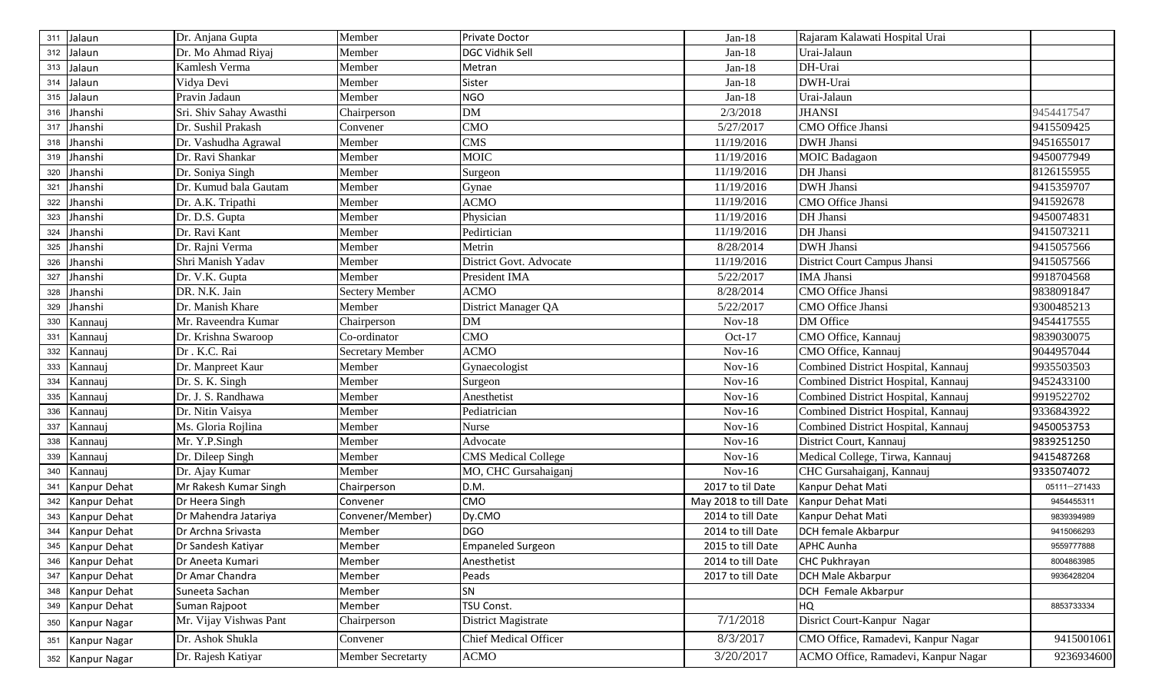| 311 | Jalaun           | Dr. Anjana Gupta        | Member                   | Private Doctor               | $Jan-18$              | Rajaram Kalawati Hospital Urai      |              |
|-----|------------------|-------------------------|--------------------------|------------------------------|-----------------------|-------------------------------------|--------------|
| 312 | Jalaun           | Dr. Mo Ahmad Riyaj      | Member                   | DGC Vidhik Sell              | $Jan-18$              | Urai-Jalaun                         |              |
| 313 | Jalaun           | Kamlesh Verma           | Member                   | Metran                       | $Jan-18$              | DH-Urai                             |              |
| 314 | Jalaun           | Vidya Devi              | Member                   | Sister                       | $Jan-18$              | DWH-Urai                            |              |
|     | 315 Jalaun       | Pravin Jadaun           | Member                   | <b>NGO</b>                   | $Jan-18$              | Urai-Jalaun                         |              |
| 316 | Jhanshi          | Sri. Shiv Sahay Awasthi | Chairperson              | <b>DM</b>                    | 2/3/2018              | <b>JHANSI</b>                       | 9454417547   |
| 317 | Jhanshi          | Dr. Sushil Prakash      | Convener                 | <b>CMO</b>                   | 5/27/2017             | CMO Office Jhansi                   | 9415509425   |
| 318 | Jhanshi          | Dr. Vashudha Agrawal    | Member                   | <b>CMS</b>                   | 11/19/2016            | <b>DWH</b> Jhansi                   | 9451655017   |
| 319 | Jhanshi          | Dr. Ravi Shankar        | Member                   | <b>MOIC</b>                  | 11/19/2016            | <b>MOIC</b> Badagaon                | 9450077949   |
| 320 | Jhanshi          | Dr. Soniya Singh        | Member                   | Surgeon                      | 11/19/2016            | DH Jhansi                           | 8126155955   |
| 321 | Jhanshi          | Dr. Kumud bala Gautam   | Member                   | Gynae                        | 11/19/2016            | <b>DWH Jhansi</b>                   | 9415359707   |
| 322 | Jhanshi          | Dr. A.K. Tripathi       | Member                   | <b>ACMO</b>                  | 11/19/2016            | CMO Office Jhansi                   | 941592678    |
| 323 | Jhanshi          | Dr. D.S. Gupta          | Member                   | Physician                    | 11/19/2016            | DH Jhansi                           | 9450074831   |
| 324 | Jhanshi          | Dr. Ravi Kant           | Member                   | Pedirtician                  | 11/19/2016            | DH Jhansi                           | 9415073211   |
| 325 | Jhanshi          | Dr. Rajni Verma         | Member                   | Metrin                       | 8/28/2014             | <b>DWH Jhansi</b>                   | 9415057566   |
| 326 | Jhanshi          | Shri Manish Yadav       | Member                   | District Govt. Advocate      | 11/19/2016            | <b>District Court Campus Jhansi</b> | 9415057566   |
| 327 | Jhanshi          | Dr. V.K. Gupta          | Member                   | President IMA                | 5/22/2017             | <b>IMA</b> Jhansi                   | 9918704568   |
| 328 | Jhanshi          | DR. N.K. Jain           | <b>Sectery Member</b>    | <b>ACMO</b>                  | 8/28/2014             | <b>CMO</b> Office Jhansi            | 9838091847   |
| 329 | Jhanshi          | Dr. Manish Khare        | Member                   | District Manager QA          | 5/22/2017             | CMO Office Jhansi                   | 9300485213   |
| 330 | Kannauj          | Mr. Raveendra Kumar     | Chairperson              | <b>DM</b>                    | $Nov-18$              | DM Office                           | 9454417555   |
| 331 | Kannauj          | Dr. Krishna Swaroop     | Co-ordinator             | CMO                          | Oct-17                | CMO Office, Kannauj                 | 9839030075   |
| 332 | Kannauj          | Dr. K.C. Rai            | Secretary Member         | <b>ACMO</b>                  | $Nov-16$              | CMO Office, Kannauj                 | 9044957044   |
| 333 | Kannauj          | Dr. Manpreet Kaur       | Member                   | Gynaecologist                | $Nov-16$              | Combined District Hospital, Kannauj | 9935503503   |
| 334 | Kannauj          | Dr. S. K. Singh         | Member                   | Surgeon                      | $Nov-16$              | Combined District Hospital, Kannauj | 9452433100   |
| 335 | Kannauj          | Dr. J. S. Randhawa      | Member                   | Anesthetist                  | $Nov-16$              | Combined District Hospital, Kannauj | 9919522702   |
| 336 | Kannauj          | Dr. Nitin Vaisya        | Member                   | Pediatrician                 | $Nov-16$              | Combined District Hospital, Kannauj | 9336843922   |
| 337 | Kannauj          | Ms. Gloria Rojlina      | Member                   | Nurse                        | $Nov-16$              | Combined District Hospital, Kannauj | 9450053753   |
| 338 | Kannauj          | Mr. Y.P.Singh           | Member                   | Advocate                     | $Nov-16$              | District Court, Kannauj             | 9839251250   |
| 339 | Kannauj          | Dr. Dileep Singh        | Member                   | <b>CMS</b> Medical College   | $Nov-16$              | Medical College, Tirwa, Kannauj     | 9415487268   |
| 340 | Kannauj          | Dr. Ajay Kumar          | Member                   | MO, CHC Gursahaiganj         | $Nov-16$              | CHC Gursahaiganj, Kannauj           | 9335074072   |
| 341 | Kanpur Dehat     | Mr Rakesh Kumar Singh   | Chairperson              | D.M.                         | 2017 to til Date      | Kanpur Dehat Mati                   | 05111-271433 |
| 342 | Kanpur Dehat     | Dr Heera Singh          | Convener                 | CMO                          | May 2018 to till Date | Kanpur Dehat Mati                   | 9454455311   |
| 343 | Kanpur Dehat     | Dr Mahendra Jatariya    | Convener/Member)         | Dy.CMO                       | 2014 to till Date     | Kanpur Dehat Mati                   | 9839394989   |
| 344 | Kanpur Dehat     | Dr Archna Srivasta      | Member                   | <b>DGO</b>                   | 2014 to till Date     | <b>DCH female Akbarpur</b>          | 9415066293   |
| 345 | Kanpur Dehat     | Dr Sandesh Katiyar      | Member                   | <b>Empaneled Surgeon</b>     | 2015 to till Date     | <b>APHC Aunha</b>                   | 9559777888   |
| 346 | Kanpur Dehat     | Dr Aneeta Kumari        | Member                   | Anesthetist                  | 2014 to till Date     | CHC Pukhrayan                       | 8004863985   |
| 347 | Kanpur Dehat     | Dr Amar Chandra         | Member                   | Peads                        | 2017 to till Date     | <b>DCH Male Akbarpur</b>            | 9936428204   |
| 348 | Kanpur Dehat     | Suneeta Sachan          | Member                   | SN                           |                       | <b>DCH</b> Female Akbarpur          |              |
| 349 | Kanpur Dehat     | Suman Rajpoot           | Member                   | TSU Const.                   |                       | HQ                                  | 8853733334   |
| 350 | Kanpur Nagar     | Mr. Vijay Vishwas Pant  | Chairperson              | District Magistrate          | 7/1/2018              | Disrict Court-Kanpur Nagar          |              |
| 351 | Kanpur Nagar     | Dr. Ashok Shukla        | Convener                 | <b>Chief Medical Officer</b> | 8/3/2017              | CMO Office, Ramadevi, Kanpur Nagar  | 9415001061   |
|     | 352 Kanpur Nagar | Dr. Rajesh Katiyar      | <b>Member Secretarty</b> | ACMO                         | 3/20/2017             | ACMO Office, Ramadevi, Kanpur Nagar | 9236934600   |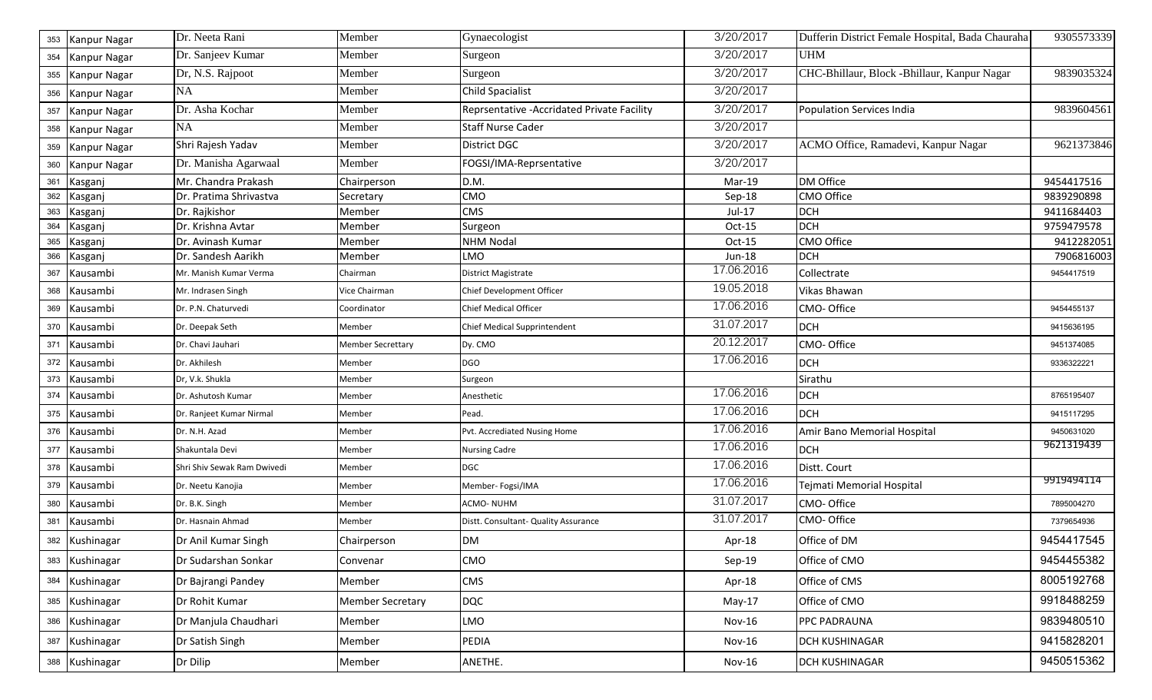| 353 | <b>Kanpur Nagar</b> | Dr. Neeta Rani              | Member                   | Gynaecologist                               | 3/20/2017  | Dufferin District Female Hospital, Bada Chauraha | 9305573339 |
|-----|---------------------|-----------------------------|--------------------------|---------------------------------------------|------------|--------------------------------------------------|------------|
| 354 | Kanpur Nagar        | Dr. Sanjeev Kumar           | Member                   | Surgeon                                     | 3/20/2017  | <b>UHM</b>                                       |            |
| 355 | Kanpur Nagar        | Dr, N.S. Rajpoot            | Member                   | Surgeon                                     | 3/20/2017  | CHC-Bhillaur, Block -Bhillaur, Kanpur Nagar      | 9839035324 |
| 356 | Kanpur Nagar        | <b>NA</b>                   | Member                   | <b>Child Spacialist</b>                     | 3/20/2017  |                                                  |            |
| 357 | Kanpur Nagar        | Dr. Asha Kochar             | Member                   | Reprsentative - Accridated Private Facility | 3/20/2017  | Population Services India                        | 9839604561 |
| 358 | Kanpur Nagar        | NA                          | Member                   | <b>Staff Nurse Cader</b>                    | 3/20/2017  |                                                  |            |
| 359 | Kanpur Nagar        | Shri Rajesh Yadav           | Member                   | <b>District DGC</b>                         | 3/20/2017  | ACMO Office, Ramadevi, Kanpur Nagar              | 9621373846 |
| 360 | Kanpur Nagar        | Dr. Manisha Agarwaal        | Member                   | FOGSI/IMA-Reprsentative                     | 3/20/2017  |                                                  |            |
| 361 | Kasganj             | Mr. Chandra Prakash         | Chairperson              | D.M.                                        | Mar-19     | DM Office                                        | 9454417516 |
| 362 | Kasganj             | Dr. Pratima Shrivastva      | Secretary                | <b>CMO</b>                                  | Sep-18     | <b>CMO Office</b>                                | 9839290898 |
| 363 | Kasganj             | Dr. Rajkishor               | Member                   | <b>CMS</b>                                  | $Jul-17$   | <b>DCH</b>                                       | 9411684403 |
| 364 | Kasganj             | Dr. Krishna Avtar           | Member                   | Surgeon                                     | Oct-15     | <b>DCH</b>                                       | 9759479578 |
| 365 | Kasganj             | Dr. Avinash Kumar           | Member                   | <b>NHM Nodal</b>                            | Oct-15     | <b>CMO Office</b>                                | 9412282051 |
| 366 | Kasganj             | Dr. Sandesh Aarikh          | Member                   | LMO                                         | Jun-18     | <b>DCH</b>                                       | 7906816003 |
| 367 | Kausambi            | Mr. Manish Kumar Verma      | Chairman                 | <b>District Magistrate</b>                  | 17.06.2016 | Collectrate                                      | 9454417519 |
| 368 | Kausambi            | Mr. Indrasen Singh          | Vice Chairman            | Chief Development Officer                   | 19.05.2018 | Vikas Bhawan                                     |            |
| 369 | Kausambi            | Dr. P.N. Chaturvedi         | Coordinator              | <b>Chief Medical Officer</b>                | 17.06.2016 | CMO-Office                                       | 9454455137 |
| 370 | Kausambi            | Dr. Deepak Seth             | Member                   | Chief Medical Supprintendent                | 31.07.2017 | <b>DCH</b>                                       | 9415636195 |
| 371 | Kausambi            | Dr. Chavi Jauhari           | <b>Member Secrettary</b> | Dy. CMO                                     | 20.12.2017 | CMO-Office                                       | 9451374085 |
| 372 | Kausambi            | Dr. Akhilesh                | Member                   | <b>DGO</b>                                  | 17.06.2016 | <b>DCH</b>                                       | 9336322221 |
| 373 | Kausambi            | Dr, V.k. Shukla             | Member                   | Surgeon                                     |            | Sirathu                                          |            |
| 374 | Kausambi            | Dr. Ashutosh Kumar          | Member                   | Anesthetic                                  | 17.06.2016 | <b>DCH</b>                                       | 8765195407 |
| 375 | Kausambi            | Dr. Ranjeet Kumar Nirmal    | Member                   | Pead.                                       | 17.06.2016 | <b>DCH</b>                                       | 9415117295 |
| 376 | Kausambi            | Dr. N.H. Azad               | Member                   | Pvt. Accrediated Nusing Home                | 17.06.2016 | Amir Bano Memorial Hospital                      | 9450631020 |
| 377 | Kausambi            | Shakuntala Devi             | Member                   | <b>Nursing Cadre</b>                        | 17.06.2016 | <b>DCH</b>                                       | 9621319439 |
| 378 | Kausambi            | Shri Shiv Sewak Ram Dwivedi | Member                   | <b>DGC</b>                                  | 17.06.2016 | Distt. Court                                     |            |
| 379 | Kausambi            | Dr. Neetu Kanojia           | Member                   | Member- Fogsi/IMA                           | 17.06.2016 | Tejmati Memorial Hospital                        | 9919494114 |
| 380 | Kausambi            | Dr. B.K. Singh              | Member                   | ACMO-NUHM                                   | 31.07.2017 | CMO-Office                                       | 7895004270 |
| 381 | Kausambi            | Dr. Hasnain Ahmad           | Member                   | Distt. Consultant- Quality Assurance        | 31.07.2017 | CMO-Office                                       | 7379654936 |
|     | 382 Kushinagar      | Dr Anil Kumar Singh         | Chairperson              | <b>DM</b>                                   | Apr-18     | Office of DM                                     | 9454417545 |
|     | 383 Kushinagar      | Dr Sudarshan Sonkar         | Convenar                 | CMO                                         | $Sep-19$   | Office of CMO                                    | 9454455382 |
|     | 384 Kushinagar      | Dr Bajrangi Pandey          | Member                   | <b>CMS</b>                                  | Apr-18     | Office of CMS                                    | 8005192768 |
|     | 385 Kushinagar      | Dr Rohit Kumar              | <b>Member Secretary</b>  | <b>DQC</b>                                  | $May-17$   | Office of CMO                                    | 9918488259 |
|     | 386 Kushinagar      | Dr Manjula Chaudhari        | Member                   | LMO                                         | Nov-16     | PPC PADRAUNA                                     | 9839480510 |
|     | 387 Kushinagar      | Dr Satish Singh             | Member                   | PEDIA                                       | Nov-16     | DCH KUSHINAGAR                                   | 9415828201 |
|     | 388 Kushinagar      | Dr Dilip                    | Member                   | ANETHE.                                     | Nov-16     | DCH KUSHINAGAR                                   | 9450515362 |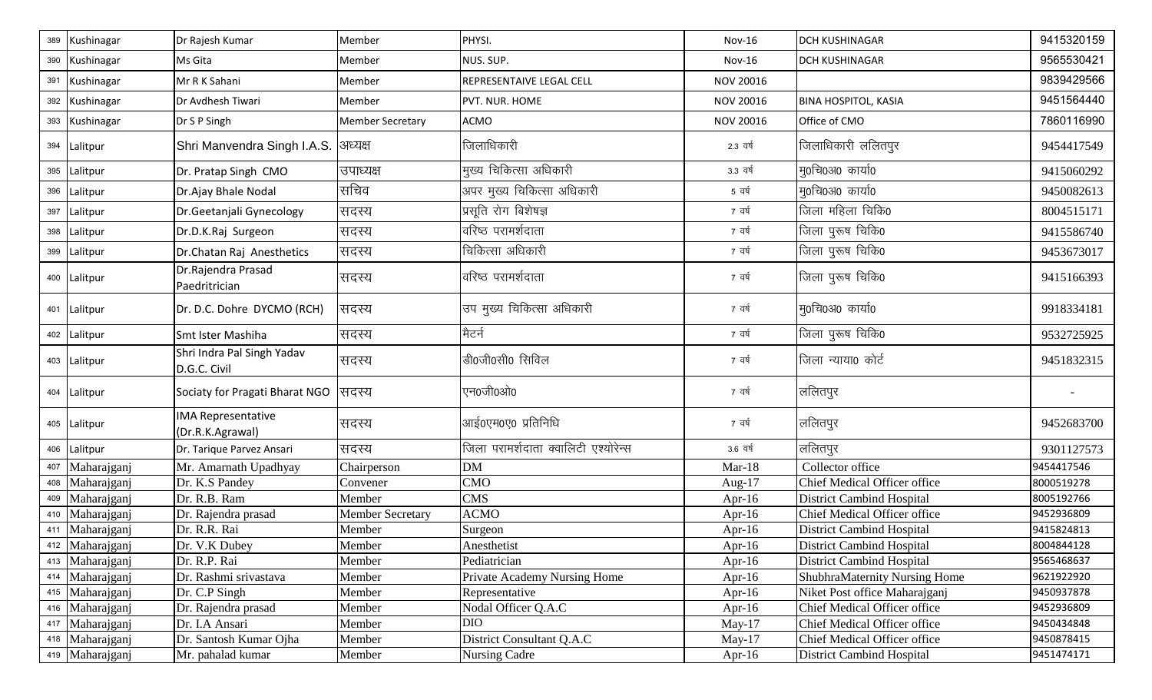| 389 | Kushinagar      | Dr Rajesh Kumar                               | Member                  | PHYSI.                               | <b>Nov-16</b> | <b>DCH KUSHINAGAR</b>                | 9415320159 |
|-----|-----------------|-----------------------------------------------|-------------------------|--------------------------------------|---------------|--------------------------------------|------------|
| 390 | Kushinagar      | Ms Gita                                       | Member                  | NUS. SUP.                            | <b>Nov-16</b> | <b>DCH KUSHINAGAR</b>                | 9565530421 |
| 391 | Kushinagar      | Mr R K Sahani                                 | Member                  | REPRESENTAIVE LEGAL CELL             | NOV 20016     |                                      | 9839429566 |
|     | 392 Kushinagar  | Dr Avdhesh Tiwari                             | Member                  | PVT. NUR. HOME                       | NOV 20016     | <b>BINA HOSPITOL, KASIA</b>          | 9451564440 |
|     | 393 Kushinagar  | Dr S P Singh                                  | <b>Member Secretary</b> | ACMO                                 | NOV 20016     | Office of CMO                        | 7860116990 |
|     | 394 Lalitpur    | Shri Manvendra Singh I.A.S.                   | अध्यक्ष                 | जिलाधिकारी                           | 2.3 वर्ष      | जिलाधिकारी ललितपुर                   | 9454417549 |
|     | 395 Lalitpur    | Dr. Pratap Singh CMO                          | उपाध्यक्ष               | मुख्य चिकित्सा अधिकारी               | 3.3 वर्ष      | मु0चि0अ0 कार्या0                     | 9415060292 |
| 396 | Lalitpur        | Dr.Ajay Bhale Nodal                           | सचिव                    | अपर मुख्य चिकित्सा अधिकारी           | 5 वर्ष        | मु0चि0अ0 कार्या0                     | 9450082613 |
| 397 | Lalitpur        | Dr.Geetanjali Gynecology                      | सदस्य                   | प्रसृति रोग बिशेषज्ञ                 | 7 वर्ष        | जिला महिला चिकि0                     | 8004515171 |
| 398 | Lalitpur        | Dr.D.K.Raj Surgeon                            | सदस्य                   | वरिष्ठ परामर्शदाता                   | 7 वर्ष        | जिला पुरूष चिकि0                     | 9415586740 |
| 399 | Lalitpur        | Dr.Chatan Raj Anesthetics                     | सदस्य                   | चिकित्सा अधिकारी                     | 7 वर्ष        | जिला पुरूष चिकि0                     | 9453673017 |
|     | 400 Lalitpur    | Dr.Rajendra Prasad<br>Paedritrician           | सदस्य                   | वरिष्ठ परामर्शदाता                   | 7 वर्ष        | जिला पुरूष चिकि0                     | 9415166393 |
|     | 401 Lalitpur    | Dr. D.C. Dohre DYCMO (RCH)                    | सदस्य                   | उप मुख्य चिकित्सा अधिकारी            | 7 वर्ष        | म्0चि0अ0 कार्या0                     | 9918334181 |
|     | 402 Lalitpur    | Smt Ister Mashiha                             | सदस्य                   | मैटर्न                               | 7 वर्ष        | जिला पुरूष चिकि0                     | 9532725925 |
|     | 403 Lalitpur    | Shri Indra Pal Singh Yadav<br>D.G.C. Civil    | सदस्य                   | डी0जी0सी0 सिविल                      | 7 वर्ष        | जिला न्याया0 कोर्ट                   | 9451832315 |
|     | 404 Lalitpur    | Sociaty for Pragati Bharat NGO                | सदस्य                   | एन0जी0ओ0                             | 7 वर्ष        | ललितपुर                              |            |
|     | 405 Lalitpur    | <b>IMA Representative</b><br>(Dr.R.K.Agrawal) | सदस्य                   | आई०एम०ए० प्रतिनिधि                   | 7 वर्ष        | ललितपुर                              | 9452683700 |
|     | 406 Lalitpur    | Dr. Tarique Parvez Ansari                     | सदस्य                   | जिला परामर्शदाता क्वालिटी एश्योरेन्स | 3.6 वर्ष      | ललितपुर                              | 9301127573 |
| 407 | Maharajganj     | Mr. Amarnath Upadhyay                         | Chairperson             | <b>DM</b>                            | $Mar-18$      | Collector office                     | 9454417546 |
| 408 | Maharajganj     | Dr. K.S Pandey                                | Convener                | <b>CMO</b>                           | Aug- $17$     | Chief Medical Officer office         | 8000519278 |
| 409 | Maharajganj     | Dr. R.B. Ram                                  | Member                  | <b>CMS</b>                           | Apr-16        | <b>District Cambind Hospital</b>     | 8005192766 |
| 410 | Maharajganj     | Dr. Rajendra prasad                           | <b>Member Secretary</b> | <b>ACMO</b>                          | Apr-16        | <b>Chief Medical Officer office</b>  | 9452936809 |
| 411 | Maharajganj     | Dr. R.R. Rai                                  | Member                  | Surgeon                              | Apr-16        | <b>District Cambind Hospital</b>     | 9415824813 |
|     | 412 Maharajganj | Dr. V.K Dubey                                 | Member                  | Anesthetist                          | Apr-16        | District Cambind Hospital            | 8004844128 |
|     | 413 Maharajganj | Dr. R.P. Rai                                  | Member                  | Pediatrician                         | Apr-16        | <b>District Cambind Hospital</b>     | 9565468637 |
|     | 414 Maharajganj | Dr. Rashmi srivastava                         | Member                  | Private Academy Nursing Home         | Apr-16        | <b>ShubhraMaternity Nursing Home</b> | 9621922920 |
|     | 415 Maharajganj | Dr. C.P Singh                                 | Member                  | Representative                       | Apr-16        | Niket Post office Maharajganj        | 9450937878 |
|     | 416 Maharajganj | Dr. Rajendra prasad                           | Member                  | Nodal Officer Q.A.C                  | Apr-16        | Chief Medical Officer office         | 9452936809 |
|     | 417 Maharajganj | Dr. I.A Ansari                                | Member                  | <b>DIO</b>                           | $May-17$      | Chief Medical Officer office         | 9450434848 |
|     | 418 Maharajganj | Dr. Santosh Kumar Ojha                        | Member                  | District Consultant Q.A.C            | May- $17$     | Chief Medical Officer office         | 9450878415 |
|     | 419 Maharajganj | Mr. pahalad kumar                             | Member                  | Nursing Cadre                        | Apr-16        | District Cambind Hospital            | 9451474171 |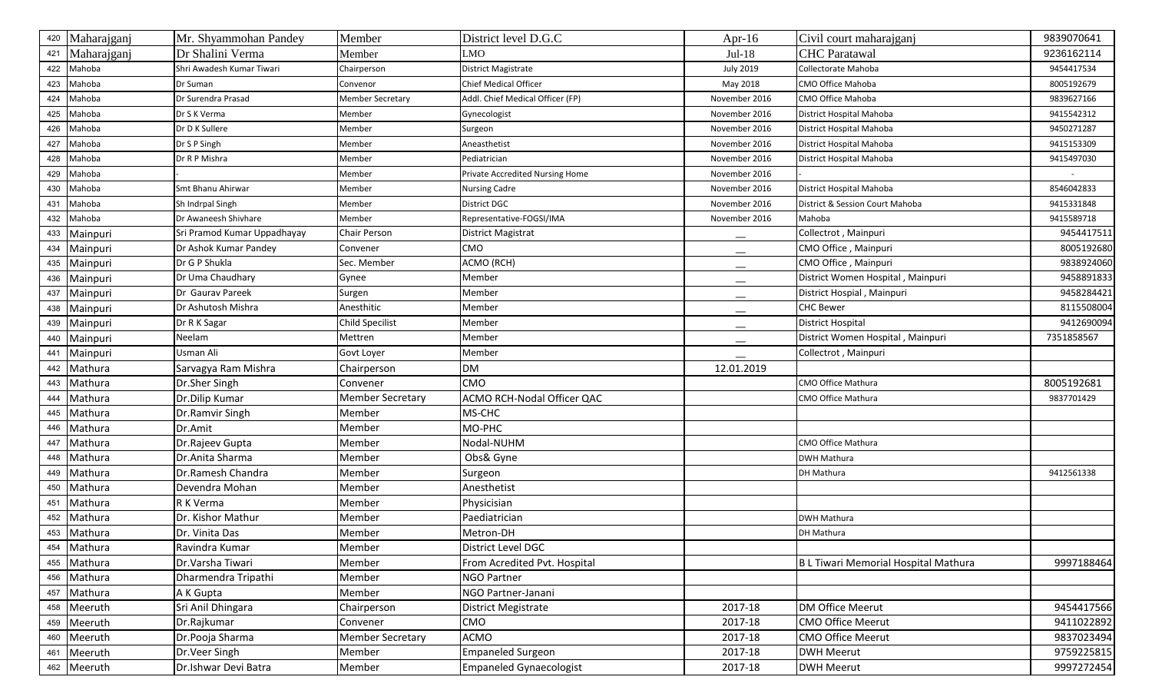| 420 | Maharajganj | Mr. Shyammohan Pandey       | Member                  | District level D.G.C             | Apr-16                        | Civil court maharajganj              | 9839070641 |
|-----|-------------|-----------------------------|-------------------------|----------------------------------|-------------------------------|--------------------------------------|------------|
| 421 | Maharajganj | Dr Shalini Verma            | Member                  | MO                               | $Jul-18$                      | <b>CHC Paratawal</b>                 | 9236162114 |
| 422 | Mahoba      | Shri Awadesh Kumar Tiwari   | Chairperson             | <b>District Magistrate</b>       | <b>July 2019</b>              | Collectorate Mahoba                  | 9454417534 |
| 423 | Mahoba      | Dr Suman                    | Convenor                | Chief Medical Officer            | May 2018                      | CMO Office Mahoba                    | 8005192679 |
| 424 | Mahoba      | Dr Surendra Prasad          | Member Secretary        | Addl. Chief Medical Officer (FP) | November 2016                 | CMO Office Mahoba                    | 9839627166 |
| 425 | Mahoba      | Dr S K Verma                | Member                  | Gynecologist                     | November 2016                 | District Hospital Mahoba             | 9415542312 |
| 426 | Mahoba      | Dr D K Sullere              | Member                  | Surgeon                          | November 2016                 | District Hospital Mahoba             | 9450271287 |
| 427 | Mahoba      | Dr S P Singh                | Member                  | Aneasthetist                     | November 2016                 | District Hospital Mahoba             | 9415153309 |
| 428 | Mahoba      | Dr R P Mishra               | Member                  | Pediatrician                     | November 2016                 | District Hospital Mahoba             | 9415497030 |
| 429 | Mahoba      |                             | Member                  | Private Accredited Nursing Home  | November 2016                 |                                      |            |
| 430 | Mahoba      | Smt Bhanu Ahirwar           | Member                  | <b>Nursing Cadre</b>             | November 2016                 | District Hospital Mahoba             | 8546042833 |
| 431 | Mahoba      | Sh Indrpal Singh            | Member                  | District DGC                     | November 2016                 | District & Session Court Mahoba      | 9415331848 |
| 432 | Mahoba      | Dr Awaneesh Shivhare        | Member                  | Representative-FOGSI/IMA         | November 2016                 | Mahoba                               | 9415589718 |
| 433 | Mainpuri    | Sri Pramod Kumar Uppadhayay | Chair Person            | District Magistrat               | $\overline{\phantom{a}}$      | Collectrot, Mainpuri                 | 9454417511 |
| 434 | Mainpuri    | Dr Ashok Kumar Pandey       | Convener                | CMO                              | $\overbrace{\phantom{aaaaa}}$ | CMO Office, Mainpuri                 | 8005192680 |
| 435 | Mainpuri    | Dr G P Shukla               | Sec. Member             | ACMO (RCH)                       |                               | CMO Office, Mainpuri                 | 9838924060 |
| 436 | Mainpuri    | Dr Uma Chaudhary            | Gynee                   | Member                           |                               | District Women Hospital, Mainpuri    | 9458891833 |
| 437 | Mainpuri    | Dr Gaurav Pareek            | Surgen                  | Member                           |                               | District Hospial, Mainpuri           | 9458284421 |
| 438 | Mainpuri    | Dr Ashutosh Mishra          | Anesthitic              | Member                           |                               | <b>CHC Bewer</b>                     | 8115508004 |
| 439 | Mainpuri    | Dr R K Sagar                | Child Specilist         | Member                           |                               | <b>District Hospital</b>             | 9412690094 |
| 440 | Mainpuri    | Neelam                      | Mettren                 | Member                           | $\hspace{0.05cm}$             | District Women Hospital, Mainpuri    | 7351858567 |
| 441 | Mainpuri    | Usman Ali                   | Govt Loyer              | Member                           |                               | Collectrot, Mainpuri                 |            |
| 442 | Mathura     | Sarvagya Ram Mishra         | Chairperson             | <b>DM</b>                        | 12.01.2019                    |                                      |            |
| 443 | Mathura     | Dr.Sher Singh               | Convener                | CMO                              |                               | CMO Office Mathura                   | 8005192681 |
| 444 | Mathura     | Dr.Dilip Kumar              | <b>Member Secretary</b> | ACMO RCH-Nodal Officer QAC       |                               | CMO Office Mathura                   | 9837701429 |
| 445 | Mathura     | Dr.Ramvir Singh             | Member                  | MS-CHC                           |                               |                                      |            |
| 446 | Mathura     | Dr.Amit                     | Member                  | MO-PHC                           |                               |                                      |            |
| 447 | Mathura     | Dr.Rajeev Gupta             | Member                  | Nodal-NUHM                       |                               | CMO Office Mathura                   |            |
| 448 | Mathura     | Dr.Anita Sharma             | Member                  | Obs& Gyne                        |                               | <b>DWH Mathura</b>                   |            |
| 449 | Mathura     | Dr.Ramesh Chandra           | Member                  | Surgeon                          |                               | DH Mathura                           | 9412561338 |
| 450 | Mathura     | Devendra Mohan              | Member                  | Anesthetist                      |                               |                                      |            |
| 451 | Mathura     | R K Verma                   | Member                  | Physicisian                      |                               |                                      |            |
| 452 | Mathura     | Dr. Kishor Mathur           | Member                  | Paediatrician                    |                               | DWH Mathura                          |            |
| 453 | Mathura     | Dr. Vinita Das              | Member                  | Metron-DH                        |                               | DH Mathura                           |            |
| 454 | Mathura     | Ravindra Kumar              | Member                  | District Level DGC               |                               |                                      |            |
| 455 | Mathura     | Dr.Varsha Tiwari            | Member                  | From Acredited Pvt. Hospital     |                               | B L Tiwari Memorial Hospital Mathura | 9997188464 |
|     | 456 Mathura | Dharmendra Tripathi         | Member                  | <b>NGO Partner</b>               |                               |                                      |            |
| 457 | Mathura     | A K Gupta                   | Member                  | NGO Partner-Janani               |                               |                                      |            |
| 458 | Meeruth     | Sri Anil Dhingara           | Chairperson             | District Megistrate              | 2017-18                       | DM Office Meerut                     | 9454417566 |
| 459 | Meeruth     | Dr.Rajkumar                 | Convener                | <b>CMO</b>                       | 2017-18                       | CMO Office Meerut                    | 9411022892 |
| 460 | Meeruth     | Dr.Pooja Sharma             | <b>Member Secretary</b> | ACMO                             | 2017-18                       | <b>CMO Office Meerut</b>             | 9837023494 |
| 461 | Meeruth     | Dr.Veer Singh               | Member                  | <b>Empaneled Surgeon</b>         | 2017-18                       | <b>DWH Meerut</b>                    | 9759225815 |
|     | 462 Meeruth | Dr.Ishwar Devi Batra        | Member                  | <b>Empaneled Gynaecologist</b>   | 2017-18                       | <b>DWH Meerut</b>                    | 9997272454 |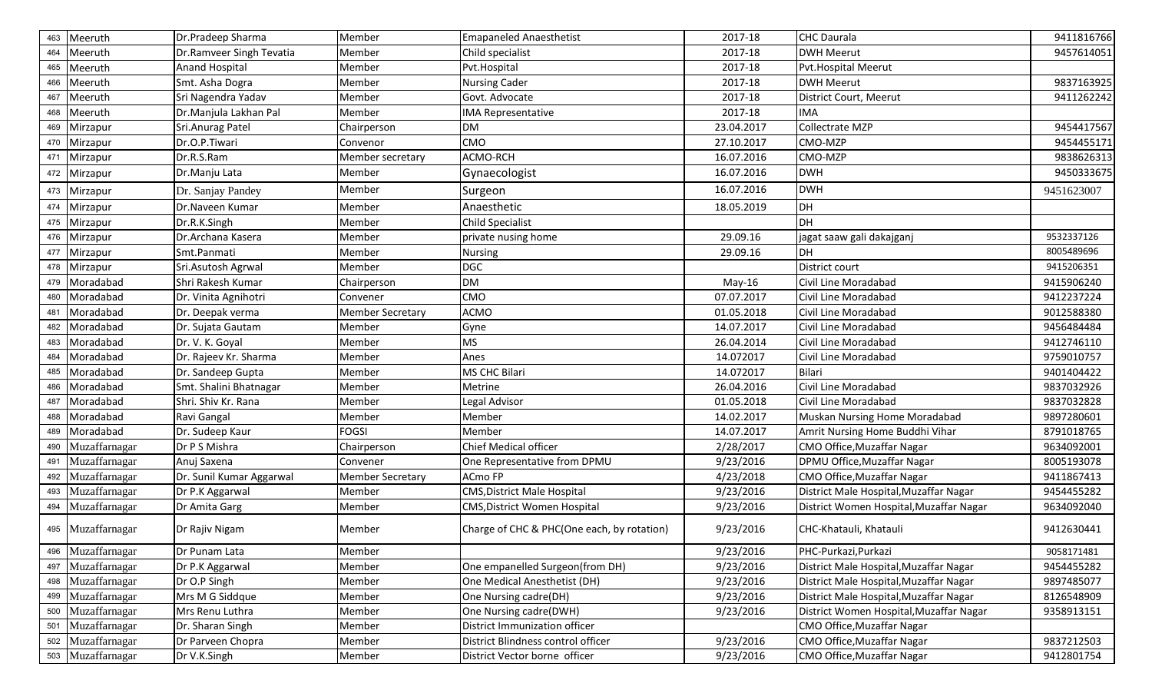| 463 | Meeruth           | Dr.Pradeep Sharma        | Member                  | <b>Emapaneled Anaesthetist</b>             | 2017-18    | <b>CHC Daurala</b>                      | 9411816766 |
|-----|-------------------|--------------------------|-------------------------|--------------------------------------------|------------|-----------------------------------------|------------|
| 464 | Meeruth           | Dr.Ramveer Singh Tevatia | Member                  | Child specialist                           | 2017-18    | <b>DWH Meerut</b>                       | 9457614051 |
| 465 | Meeruth           | <b>Anand Hospital</b>    | Member                  | Pvt.Hospital                               | 2017-18    | Pvt.Hospital Meerut                     |            |
| 466 | Meeruth           | Smt. Asha Dogra          | Member                  | <b>Nursing Cader</b>                       | 2017-18    | <b>DWH Meerut</b>                       | 9837163925 |
| 467 | Meeruth           | Sri Nagendra Yadav       | Member                  | Govt. Advocate                             | 2017-18    | District Court, Meerut                  | 9411262242 |
| 468 | Meeruth           | Dr.Manjula Lakhan Pal    | Member                  | <b>IMA Representative</b>                  | 2017-18    | <b>IMA</b>                              |            |
| 469 | Mirzapur          | Sri.Anurag Patel         | Chairperson             | <b>DM</b>                                  | 23.04.2017 | Collectrate MZP                         | 9454417567 |
| 470 | Mirzapur          | Dr.O.P.Tiwari            | Convenor                | <b>CMO</b>                                 | 27.10.2017 | CMO-MZP                                 | 9454455171 |
| 471 | Mirzapur          | Dr.R.S.Ram               | Member secretary        | ACMO-RCH                                   | 16.07.2016 | CMO-MZP                                 | 9838626313 |
|     | 472 Mirzapur      | Dr.Manju Lata            | Member                  | Gynaecologist                              | 16.07.2016 | <b>DWH</b>                              | 9450333675 |
| 473 | Mirzapur          | Dr. Sanjay Pandey        | Member                  | Surgeon                                    | 16.07.2016 | <b>DWH</b>                              | 9451623007 |
| 474 | Mirzapur          | Dr.Naveen Kumar          | Member                  | Anaesthetic                                | 18.05.2019 | DH                                      |            |
|     | 475 Mirzapur      | Dr.R.K.Singh             | Member                  | <b>Child Specialist</b>                    |            | DH                                      |            |
| 476 | Mirzapur          | Dr.Archana Kasera        | Member                  | private nusing home                        | 29.09.16   | jagat saaw gali dakajganj               | 9532337126 |
| 477 | Mirzapur          | Smt.Panmati              | Member                  | <b>Nursing</b>                             | 29.09.16   | <b>DH</b>                               | 8005489696 |
|     | 478 Mirzapur      | Sri.Asutosh Agrwal       | Member                  | <b>DGC</b>                                 |            | District court                          | 9415206351 |
|     | 479 Moradabad     | Shri Rakesh Kumar        | Chairperson             | <b>DM</b>                                  | $May-16$   | Civil Line Moradabad                    | 9415906240 |
| 480 | Moradabad         | Dr. Vinita Agnihotri     | Convener                | <b>CMO</b>                                 | 07.07.2017 | Civil Line Moradabad                    | 9412237224 |
| 481 | Moradabad         | Dr. Deepak verma         | <b>Member Secretary</b> | <b>ACMO</b>                                | 01.05.2018 | Civil Line Moradabad                    | 9012588380 |
| 482 | Moradabad         | Dr. Sujata Gautam        | Member                  | Gyne                                       | 14.07.2017 | Civil Line Moradabad                    | 9456484484 |
| 483 | Moradabad         | Dr. V. K. Goyal          | Member                  | <b>MS</b>                                  | 26.04.2014 | Civil Line Moradabad                    | 9412746110 |
| 484 | Moradabad         | Dr. Rajeev Kr. Sharma    | Member                  | Anes                                       | 14.072017  | Civil Line Moradabad                    | 9759010757 |
| 485 | Moradabad         | Dr. Sandeep Gupta        | Member                  | <b>MS CHC Bilari</b>                       | 14.072017  | <b>Bilari</b>                           | 9401404422 |
| 486 | Moradabad         | Smt. Shalini Bhatnagar   | Member                  | Metrine                                    | 26.04.2016 | Civil Line Moradabad                    | 9837032926 |
| 487 | Moradabad         | Shri. Shiv Kr. Rana      | Member                  | Legal Advisor                              | 01.05.2018 | Civil Line Moradabad                    | 9837032828 |
| 488 | Moradabad         | Ravi Gangal              | Member                  | Member                                     | 14.02.2017 | Muskan Nursing Home Moradabad           | 9897280601 |
| 489 | Moradabad         | Dr. Sudeep Kaur          | <b>FOGSI</b>            | Member                                     | 14.07.2017 | Amrit Nursing Home Buddhi Vihar         | 8791018765 |
| 490 | Muzaffarnagar     | Dr P S Mishra            | Chairperson             | <b>Chief Medical officer</b>               | 2/28/2017  | CMO Office, Muzaffar Nagar              | 9634092001 |
| 491 | Muzaffarnagar     | Anuj Saxena              | Convener                | One Representative from DPMU               | 9/23/2016  | DPMU Office, Muzaffar Nagar             | 8005193078 |
| 492 | Muzaffarnagar     | Dr. Sunil Kumar Aggarwal | <b>Member Secretary</b> | <b>ACmo FP</b>                             | 4/23/2018  | CMO Office, Muzaffar Nagar              | 9411867413 |
| 493 | Muzaffarnagar     | Dr P.K Aggarwal          | Member                  | <b>CMS, District Male Hospital</b>         | 9/23/2016  | District Male Hospital, Muzaffar Nagar  | 9454455282 |
| 494 | Muzaffarnagar     | Dr Amita Garg            | Member                  | <b>CMS, District Women Hospital</b>        | 9/23/2016  | District Women Hospital, Muzaffar Nagar | 9634092040 |
|     | 495 Muzaffarnagar | Dr Rajiv Nigam           | Member                  | Charge of CHC & PHC(One each, by rotation) | 9/23/2016  | CHC-Khatauli, Khatauli                  | 9412630441 |
|     | 496 Muzaffarnagar | Dr Punam Lata            | Member                  |                                            | 9/23/2016  | PHC-Purkazi, Purkazi                    | 9058171481 |
| 497 | Muzaffarnagar     | Dr P.K Aggarwal          | Member                  | One empanelled Surgeon(from DH)            | 9/23/2016  | District Male Hospital, Muzaffar Nagar  | 9454455282 |
|     | 498 Muzaffarnagar | Dr O.P Singh             | Member                  | One Medical Anesthetist (DH)               | 9/23/2016  | District Male Hospital, Muzaffar Nagar  | 9897485077 |
| 499 | Muzaffarnagar     | Mrs M G Siddque          | Member                  | One Nursing cadre(DH)                      | 9/23/2016  | District Male Hospital, Muzaffar Nagar  | 8126548909 |
|     | 500 Muzaffarnagar | Mrs Renu Luthra          | Member                  | One Nursing cadre(DWH)                     | 9/23/2016  | District Women Hospital, Muzaffar Nagar | 9358913151 |
| 501 | Muzaffarnagar     | Dr. Sharan Singh         | Member                  | District Immunization officer              |            | CMO Office, Muzaffar Nagar              |            |
|     | 502 Muzaffarnagar | Dr Parveen Chopra        | Member                  | District Blindness control officer         | 9/23/2016  | CMO Office, Muzaffar Nagar              | 9837212503 |
|     | 503 Muzaffarnagar | Dr V.K.Singh             | Member                  | District Vector borne officer              | 9/23/2016  | CMO Office, Muzaffar Nagar              | 9412801754 |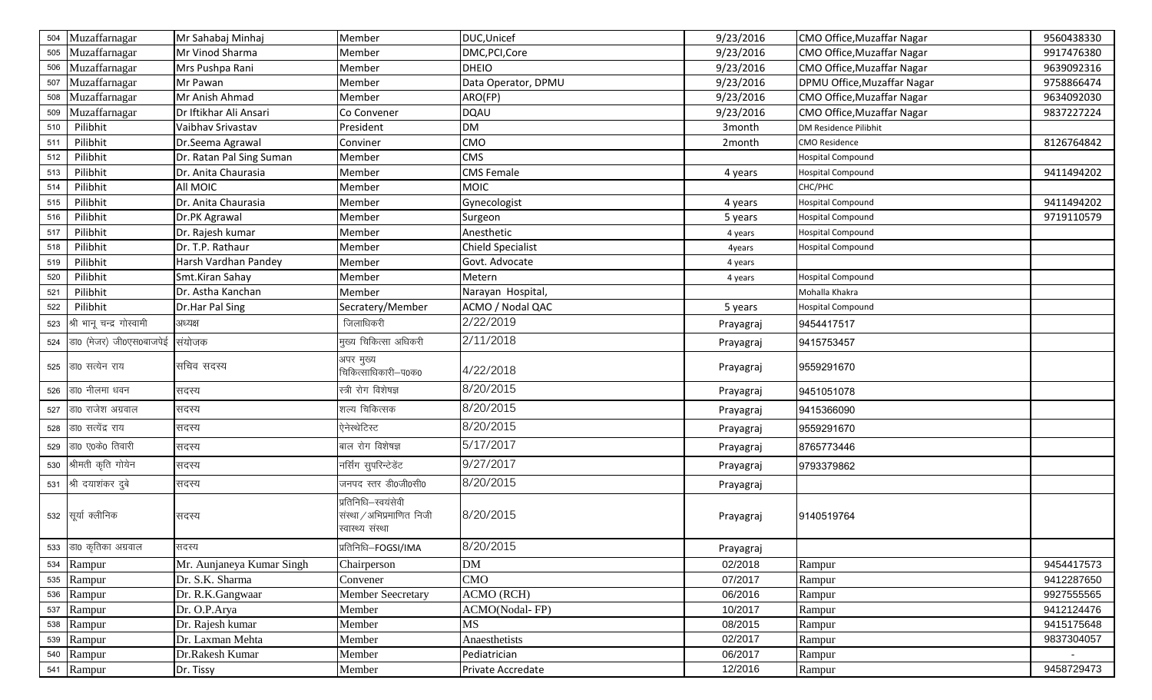| 504 | Muzaffarnagar               | Mr Sahabaj Minhaj         | Member                                                               | DUC, Unicef              | 9/23/2016 | CMO Office, Muzaffar Nagar        | 9560438330 |
|-----|-----------------------------|---------------------------|----------------------------------------------------------------------|--------------------------|-----------|-----------------------------------|------------|
| 505 | Muzaffarnagar               | Mr Vinod Sharma           | Member                                                               | DMC, PCI, Core           | 9/23/2016 | <b>CMO Office, Muzaffar Nagar</b> | 9917476380 |
| 506 | Muzaffarnagar               | Mrs Pushpa Rani           | Member                                                               | <b>DHEIO</b>             | 9/23/2016 | CMO Office, Muzaffar Nagar        | 9639092316 |
| 507 | Muzaffarnagar               | Mr Pawan                  | Member                                                               | Data Operator, DPMU      | 9/23/2016 | DPMU Office, Muzaffar Nagar       | 9758866474 |
| 508 | Muzaffarnagar               | Mr Anish Ahmad            | Member                                                               | ARO(FP)                  | 9/23/2016 | CMO Office, Muzaffar Nagar        | 9634092030 |
| 509 | Muzaffarnagar               | Dr Iftikhar Ali Ansari    | Co Convener                                                          | <b>DQAU</b>              | 9/23/2016 | CMO Office, Muzaffar Nagar        | 9837227224 |
| 510 | Pilibhit                    | Vaibhav Srivastav         | President                                                            | <b>DM</b>                | 3month    | DM Residence Pilibhit             |            |
| 511 | Pilibhit                    | Dr.Seema Agrawal          | Conviner                                                             | CMO                      | 2month    | <b>CMO Residence</b>              | 8126764842 |
| 512 | Pilibhit                    | Dr. Ratan Pal Sing Suman  | Member                                                               | <b>CMS</b>               |           | Hospital Compound                 |            |
| 513 | Pilibhit                    | Dr. Anita Chaurasia       | Member                                                               | <b>CMS Female</b>        | 4 years   | <b>Hospital Compound</b>          | 9411494202 |
| 514 | Pilibhit                    | All MOIC                  | Member                                                               | <b>MOIC</b>              |           | CHC/PHC                           |            |
| 515 | Pilibhit                    | Dr. Anita Chaurasia       | Member                                                               | Gynecologist             | 4 years   | <b>Hospital Compound</b>          | 9411494202 |
| 516 | Pilibhit                    | Dr.PK Agrawal             | Member                                                               | Surgeon                  | 5 years   | <b>Hospital Compound</b>          | 9719110579 |
| 517 | Pilibhit                    | Dr. Rajesh kumar          | Member                                                               | Anesthetic               | 4 years   | <b>Hospital Compound</b>          |            |
| 518 | Pilibhit                    | Dr. T.P. Rathaur          | Member                                                               | <b>Chield Specialist</b> | 4years    | Hospital Compound                 |            |
| 519 | Pilibhit                    | Harsh Vardhan Pandey      | Member                                                               | Govt. Advocate           | 4 years   |                                   |            |
| 520 | Pilibhit                    | Smt.Kiran Sahay           | Member                                                               | Metern                   | 4 years   | Hospital Compound                 |            |
| 521 | Pilibhit                    | Dr. Astha Kanchan         | Member                                                               | Narayan Hospital,        |           | Mohalla Khakra                    |            |
| 522 | Pilibhit                    | Dr.Har Pal Sing           | Secratery/Member                                                     | ACMO / Nodal QAC         | 5 years   | <b>Hospital Compound</b>          |            |
| 523 | श्री भानू चन्द्र गोस्वामी   | अध्यक्ष                   | जिलाधिकरी                                                            | 2/22/2019                | Prayagraj | 9454417517                        |            |
|     | 524 डा0 (मेजर) जी0एस0बाजपेई | संयोजक                    | मुख्य चिकित्सा अधिकरी                                                | 2/11/2018                | Prayagraj | 9415753457                        |            |
|     | 525 डा0 सत्येन राय          | सचिव सदस्य                | अपर मुख्य<br>चिकित्साधिकारी–प0क0                                     | 4/22/2018                | Prayagraj | 9559291670                        |            |
|     | 526 डा0 नीलमा धवन           | सदस्य                     | स्त्री रोग विशेषज्ञ                                                  | 8/20/2015                | Prayagraj | 9451051078                        |            |
|     | 527 डा0 राजेश अग्रवाल       | सदस्य                     | शल्य चिकित्सक                                                        | 8/20/2015                | Prayagraj | 9415366090                        |            |
|     | 528 डा0 सत्येंद्र राय       | सदस्य                     | ऐनेस्थेटिस्ट                                                         | 8/20/2015                | Prayagraj | 9559291670                        |            |
| 529 | डा0 ए0के0 तिवारी            | सदस्य                     | बाल रोग विशेषज्ञ                                                     | 5/17/2017                | Prayagraj | 8765773446                        |            |
|     | 530 श्रीमती कृति गोयेन      | सदस्य                     | नर्सिंग सुपरिन्टेडेंट                                                | 9/27/2017                | Prayagraj | 9793379862                        |            |
|     | 531 श्री दयाशंकर दुबे       | सदस्य                     | जनपद स्तर डी0जी0सी0                                                  | 8/20/2015                | Prayagraj |                                   |            |
|     | 532 सूर्या क्लीनिक          | सदस्य                     | प्रतिनिधि–स्वयंसेवी<br>संस्था / अभिप्रमाणित निजी<br>स्वास्थ्य संस्था | 8/20/2015                | Prayagraj | 9140519764                        |            |
|     | 533 डा0 कृतिका अग्रवाल      | सदस्य                     | प्रतिनिधि-FOGSI/IMA                                                  | 8/20/2015                | Prayagraj |                                   |            |
|     | 534 Rampur                  | Mr. Aunjaneya Kumar Singh | Chairperson                                                          | <b>DM</b>                | 02/2018   | Rampur                            | 9454417573 |
|     | 535 Rampur                  | Dr. S.K. Sharma           | Convener                                                             | <b>CMO</b>               | 07/2017   | Rampur                            | 9412287650 |
|     | 536 Rampur                  | Dr. R.K.Gangwaar          | <b>Member Seecretary</b>                                             | ACMO (RCH)               | 06/2016   | Rampur                            | 9927555565 |
|     | 537 Rampur                  | Dr. O.P.Arya              | Member                                                               | ACMO(Nodal-FP)           | 10/2017   | Rampur                            | 9412124476 |
|     | 538 Rampur                  | Dr. Rajesh kumar          | Member                                                               | MS                       | 08/2015   | Rampur                            | 9415175648 |
|     | 539 Rampur                  | Dr. Laxman Mehta          | Member                                                               | Anaesthetists            | 02/2017   | Rampur                            | 9837304057 |
|     | 540 Rampur                  | Dr.Rakesh Kumar           | Member                                                               | Pediatrician             | 06/2017   | Rampur                            |            |
|     | 541 Rampur                  | Dr. Tissy                 | Member                                                               | Private Accredate        | 12/2016   | Rampur                            | 9458729473 |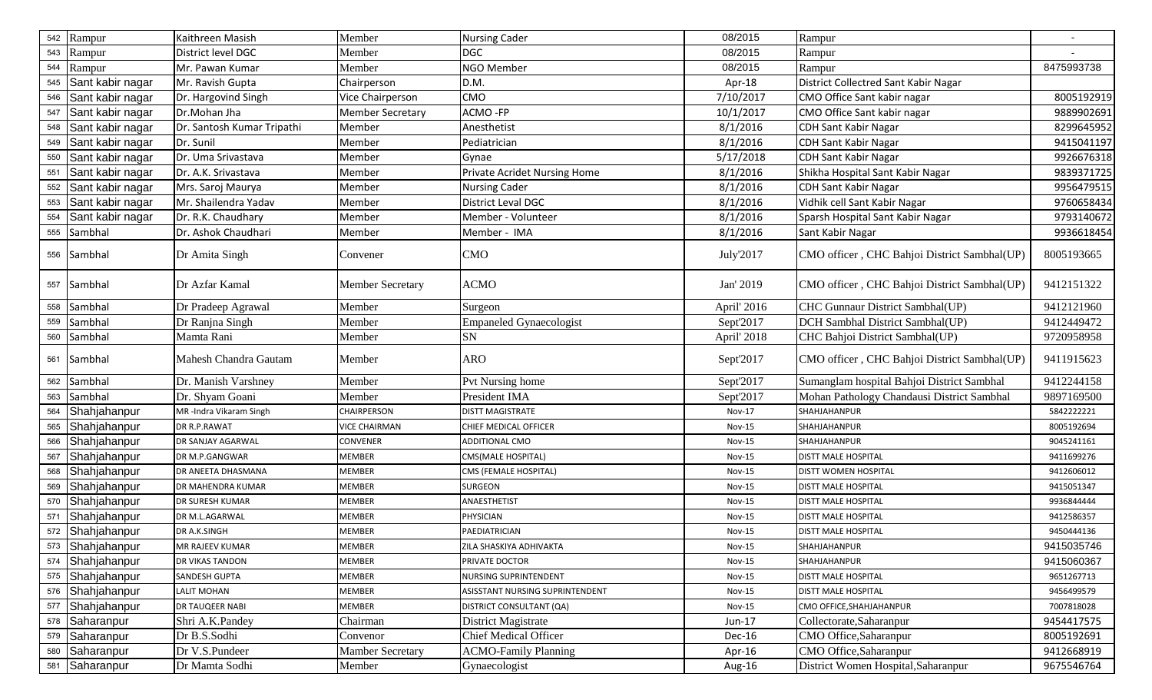| 542 | Rampur               | Kaithreen Masish           | Member                  | <b>Nursing Cader</b>            | 08/2015       | Rampur                                       |            |
|-----|----------------------|----------------------------|-------------------------|---------------------------------|---------------|----------------------------------------------|------------|
| 543 | Rampur               | District level DGC         | Member                  | <b>DGC</b>                      | 08/2015       | Rampur                                       |            |
| 544 | Rampur               | Mr. Pawan Kumar            | Member                  | NGO Member                      | 08/2015       | Rampur                                       | 8475993738 |
|     | 545 Sant kabir nagar | Mr. Ravish Gupta           | Chairperson             | D.M.                            | Apr-18        | District Collectred Sant Kabir Nagar         |            |
| 546 | Sant kabir nagar     | Dr. Hargovind Singh        | Vice Chairperson        | <b>CMO</b>                      | 7/10/2017     | CMO Office Sant kabir nagar                  | 8005192919 |
| 547 | Sant kabir nagar     | Dr.Mohan Jha               | <b>Member Secretary</b> | ACMO-FP                         | 10/1/2017     | CMO Office Sant kabir nagar                  | 9889902691 |
| 548 | Sant kabir nagar     | Dr. Santosh Kumar Tripathi | Member                  | Anesthetist                     | 8/1/2016      | <b>CDH Sant Kabir Nagar</b>                  | 8299645952 |
| 549 | Sant kabir nagar     | Dr. Sunil                  | Member                  | Pediatrician                    | 8/1/2016      | <b>CDH Sant Kabir Nagar</b>                  | 9415041197 |
| 550 | Sant kabir nagar     | Dr. Uma Srivastava         | Member                  | Gynae                           | 5/17/2018     | <b>CDH Sant Kabir Nagar</b>                  | 9926676318 |
| 551 | Sant kabir nagar     | Dr. A.K. Srivastava        | Member                  | Private Acridet Nursing Home    | 8/1/2016      | Shikha Hospital Sant Kabir Nagar             | 9839371725 |
| 552 | Sant kabir nagar     | Mrs. Saroj Maurya          | Member                  | <b>Nursing Cader</b>            | 8/1/2016      | CDH Sant Kabir Nagar                         | 9956479515 |
| 553 | Sant kabir nagar     | Mr. Shailendra Yadav       | Member                  | District Leval DGC              | 8/1/2016      | Vidhik cell Sant Kabir Nagar                 | 9760658434 |
| 554 | Sant kabir nagar     | Dr. R.K. Chaudhary         | Member                  | Member - Volunteer              | 8/1/2016      | Sparsh Hospital Sant Kabir Nagar             | 9793140672 |
| 555 | Sambhal              | Dr. Ashok Chaudhari        | Member                  | Member - IMA                    | 8/1/2016      | Sant Kabir Nagar                             | 9936618454 |
|     | 556 Sambhal          | Dr Amita Singh             | Convener                | <b>CMO</b>                      | July'2017     | CMO officer, CHC Bahjoi District Sambhal(UP) | 8005193665 |
|     | 557 Sambhal          | Dr Azfar Kamal             | <b>Member Secretary</b> | <b>ACMO</b>                     | Jan' 2019     | CMO officer, CHC Bahjoi District Sambhal(UP) | 9412151322 |
|     | 558 Sambhal          | Dr Pradeep Agrawal         | Member                  | Surgeon                         | April' 2016   | CHC Gunnaur District Sambhal(UP)             | 9412121960 |
| 559 | Sambhal              | Dr Ranjna Singh            | Member                  | <b>Empaneled Gynaecologist</b>  | Sept'2017     | DCH Sambhal District Sambhal(UP)             | 9412449472 |
|     | 560 Sambhal          | Mamta Rani                 | Member                  | SN                              | April' 2018   | CHC Bahjoi District Sambhal(UP)              | 9720958958 |
|     | 561 Sambhal          | Mahesh Chandra Gautam      | Member                  | <b>ARO</b>                      | Sept'2017     | CMO officer, CHC Bahjoi District Sambhal(UP) | 9411915623 |
| 562 | Sambhal              | Dr. Manish Varshney        | Member                  | Pvt Nursing home                | Sept'2017     | Sumanglam hospital Bahjoi District Sambhal   | 9412244158 |
| 563 | Sambhal              | Dr. Shyam Goani            | Member                  | President IMA                   | Sept'2017     | Mohan Pathology Chandausi District Sambhal   | 9897169500 |
| 564 | Shahjahanpur         | MR-Indra Vikaram Singh     | CHAIRPERSON             | <b>DISTT MAGISTRATE</b>         | Nov-17        | SHAHJAHANPUR                                 | 5842222221 |
| 565 | Shahjahanpur         | DR R.P.RAWAT               | <b>VICE CHAIRMAN</b>    | CHIEF MEDICAL OFFICER           | <b>Nov-15</b> | SHAHJAHANPUR                                 | 8005192694 |
| 566 | Shahjahanpur         | DR SANJAY AGARWAL          | CONVENER                | <b>ADDITIONAL CMO</b>           | <b>Nov-15</b> | SHAHJAHANPUR                                 | 9045241161 |
| 567 | Shahjahanpur         | DR M.P.GANGWAR             | MEMBER                  | CMS(MALE HOSPITAL)              | <b>Nov-15</b> | <b>DISTT MALE HOSPITAL</b>                   | 9411699276 |
| 568 | Shahjahanpur         | DR ANEETA DHASMANA         | MEMBER                  | CMS (FEMALE HOSPITAL)           | <b>Nov-15</b> | DISTT WOMEN HOSPITAL                         | 9412606012 |
| 569 | Shahjahanpur         | DR MAHENDRA KUMAR          | MEMBER                  | SURGEON                         | <b>Nov-15</b> | <b>DISTT MALE HOSPITAL</b>                   | 9415051347 |
|     | 570 Shahjahanpur     | <b>DR SURESH KUMAR</b>     | MEMBER                  | ANAESTHETIST                    | <b>Nov-15</b> | <b>DISTT MALE HOSPITAL</b>                   | 9936844444 |
| 571 | Shahjahanpur         | DR M.L.AGARWAL             | <b>MEMBER</b>           | PHYSICIAN                       | <b>Nov-15</b> | <b>DISTT MALE HOSPITAL</b>                   | 9412586357 |
| 572 | Shahjahanpur         | DR A.K.SINGH               | MEMBER                  | PAEDIATRICIAN                   | <b>Nov-15</b> | <b>DISTT MALE HOSPITAL</b>                   | 9450444136 |
|     | 573 Shahjahanpur     | MR RAJEEV KUMAR            | MEMBER                  | ZILA SHASKIYA ADHIVAKTA         | Nov-15        | SHAHJAHANPUR                                 | 9415035746 |
|     | 574 Shahjahanpur     | <b>DR VIKAS TANDON</b>     | MEMBER                  | PRIVATE DOCTOR                  | <b>Nov-15</b> | SHAHJAHANPUR                                 | 9415060367 |
|     | 575 Shahjahanpur     | <b>SANDESH GUPTA</b>       | <b>MEMBER</b>           | NURSING SUPRINTENDENT           | <b>Nov-15</b> | <b>DISTT MALE HOSPITAL</b>                   | 9651267713 |
|     | 576 Shahjahanpur     | <b>LALIT MOHAN</b>         | MEMBER                  | ASISSTANT NURSING SUPRINTENDENT | <b>Nov-15</b> | <b>DISTT MALE HOSPITAL</b>                   | 9456499579 |
| 577 | Shahjahanpur         | DR TAUQEER NABI            | MEMBER                  | DISTRICT CONSULTANT (QA)        | <b>Nov-15</b> | CMO OFFICE, SHAHJAHANPUR                     | 7007818028 |
| 578 | Saharanpur           | Shri A.K.Pandey            | Chairman                | District Magistrate             | Jun-17        | Collectorate, Saharanpur                     | 9454417575 |
|     | 579 Saharanpur       | Dr B.S.Sodhi               | Convenor                | <b>Chief Medical Officer</b>    | Dec-16        | CMO Office, Saharanpur                       | 8005192691 |
| 580 | Saharanpur           | Dr V.S.Pundeer             | <b>Mamber Secretary</b> | <b>ACMO-Family Planning</b>     | Apr-16        | CMO Office, Saharanpur                       | 9412668919 |
|     | 581 Saharanpur       | Dr Mamta Sodhi             | Member                  | Gynaecologist                   | Aug-16        | District Women Hospital, Saharanpur          | 9675546764 |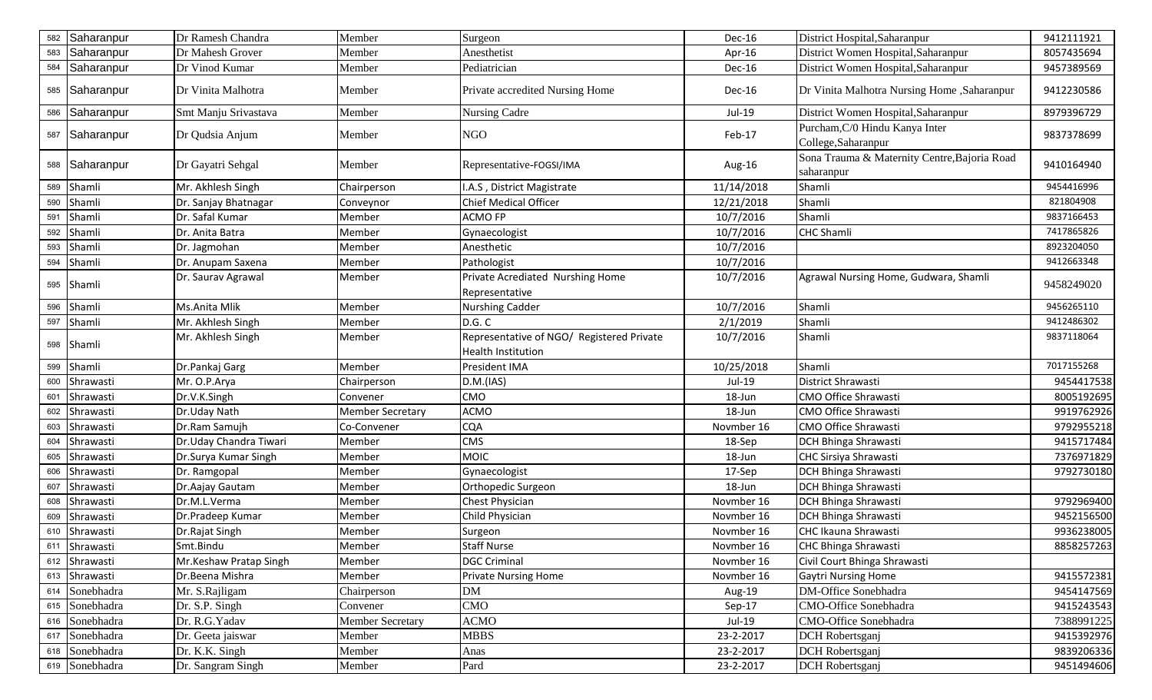| 582 | Saharanpur     | Dr Ramesh Chandra      | Member                  | Surgeon                                                                | Dec-16     | District Hospital, Saharanpur                              | 9412111921 |
|-----|----------------|------------------------|-------------------------|------------------------------------------------------------------------|------------|------------------------------------------------------------|------------|
| 583 | Saharanpur     | Dr Mahesh Grover       | Member                  | Anesthetist                                                            | Apr-16     | District Women Hospital, Saharanpur                        | 8057435694 |
| 584 | Saharanpur     | Dr Vinod Kumar         | Member                  | Pediatrician                                                           | Dec-16     | District Women Hospital, Saharanpur                        | 9457389569 |
|     | 585 Saharanpur | Dr Vinita Malhotra     | Member                  | Private accredited Nursing Home                                        | Dec-16     | Dr Vinita Malhotra Nursing Home , Saharanpur               | 9412230586 |
|     | 586 Saharanpur | Smt Manju Srivastava   | Member                  | Nursing Cadre                                                          | Jul-19     | District Women Hospital, Saharanpur                        | 8979396729 |
|     | 587 Saharanpur | Dr Qudsia Anjum        | Member                  | <b>NGO</b>                                                             | Feb-17     | Purcham, C/0 Hindu Kanya Inter<br>College, Saharanpur      | 9837378699 |
|     | 588 Saharanpur | Dr Gayatri Sehgal      | Member                  | Representative-FOGSI/IMA                                               | Aug-16     | Sona Trauma & Maternity Centre, Bajoria Road<br>saharanpur | 9410164940 |
| 589 | Shamli         | Mr. Akhlesh Singh      | Chairperson             | I.A.S, District Magistrate                                             | 11/14/2018 | Shamli                                                     | 9454416996 |
| 590 | Shamli         | Dr. Sanjay Bhatnagar   | Conveynor               | Chief Medical Officer                                                  | 12/21/2018 | Shamli                                                     | 821804908  |
| 591 | Shamli         | Dr. Safal Kumar        | Member                  | <b>ACMO FP</b>                                                         | 10/7/2016  | Shamli                                                     | 9837166453 |
| 592 | Shamli         | Dr. Anita Batra        | Member                  | Gynaecologist                                                          | 10/7/2016  | <b>CHC Shamli</b>                                          | 7417865826 |
| 593 | Shamli         | Dr. Jagmohan           | Member                  | Anesthetic                                                             | 10/7/2016  |                                                            | 8923204050 |
| 594 | Shamli         | Dr. Anupam Saxena      | Member                  | Pathologist                                                            | 10/7/2016  |                                                            | 9412663348 |
|     | 595 Shamli     | Dr. Saurav Agrawal     | Member                  | Private Acrediated Nurshing Home<br>Representative                     | 10/7/2016  | Agrawal Nursing Home, Gudwara, Shamli                      | 9458249020 |
| 596 | Shamli         | Ms.Anita Mlik          | Member                  | <b>Nurshing Cadder</b>                                                 | 10/7/2016  | Shamli                                                     | 9456265110 |
| 597 | Shamli         | Mr. Akhlesh Singh      | Member                  | D.G. C                                                                 | 2/1/2019   | Shamli                                                     | 9412486302 |
|     | 598 Shamli     | Mr. Akhlesh Singh      | Member                  | Representative of NGO/ Registered Private<br><b>Health Institution</b> | 10/7/2016  | Shamli                                                     | 9837118064 |
| 599 | Shamli         | Dr.Pankaj Garg         | Member                  | President IMA                                                          | 10/25/2018 | Shamli                                                     | 7017155268 |
| 600 | Shrawasti      | Mr. O.P.Arya           | Chairperson             | D.M.(IAS)                                                              | Jul-19     | District Shrawasti                                         | 9454417538 |
| 601 | Shrawasti      | Dr.V.K.Singh           | Convener                | <b>CMO</b>                                                             | 18-Jun     | CMO Office Shrawasti                                       | 8005192695 |
| 602 | Shrawasti      | Dr.Uday Nath           | <b>Member Secretary</b> | <b>ACMO</b>                                                            | 18-Jun     | CMO Office Shrawasti                                       | 9919762926 |
| 603 | Shrawasti      | Dr.Ram Samujh          | Co-Convener             | <b>CQA</b>                                                             | Novmber 16 | CMO Office Shrawasti                                       | 9792955218 |
| 604 | Shrawasti      | Dr.Uday Chandra Tiwari | Member                  | <b>CMS</b>                                                             | 18-Sep     | DCH Bhinga Shrawasti                                       | 9415717484 |
| 605 | Shrawasti      | Dr.Surya Kumar Singh   | Member                  | <b>MOIC</b>                                                            | 18-Jun     | CHC Sirsiya Shrawasti                                      | 7376971829 |
| 606 | Shrawasti      | Dr. Ramgopal           | Member                  | Gynaecologist                                                          | 17-Sep     | DCH Bhinga Shrawasti                                       | 9792730180 |
| 607 | Shrawasti      | Dr. Aajay Gautam       | Member                  | Orthopedic Surgeon                                                     | 18-Jun     | <b>DCH Bhinga Shrawasti</b>                                |            |
| 608 | Shrawasti      | Dr.M.L.Verma           | Member                  | Chest Physician                                                        | Novmber 16 | <b>DCH Bhinga Shrawasti</b>                                | 9792969400 |
| 609 | Shrawasti      | Dr.Pradeep Kumar       | Member                  | Child Physician                                                        | Novmber 16 | DCH Bhinga Shrawasti                                       | 9452156500 |
| 610 | Shrawasti      | Dr.Rajat Singh         | Member                  | Surgeon                                                                | Novmber 16 | CHC Ikauna Shrawasti                                       | 9936238005 |
|     | 611 Shrawasti  | Smt.Bindu              | Member                  | <b>Staff Nurse</b>                                                     | Novmber 16 | <b>CHC Bhinga Shrawasti</b>                                | 8858257263 |
|     | 612 Shrawasti  | Mr.Keshaw Pratap Singh | Member                  | <b>DGC Criminal</b>                                                    | Novmber 16 | Civil Court Bhinga Shrawasti                               |            |
|     | 613 Shrawasti  | Dr.Beena Mishra        | Member                  | <b>Private Nursing Home</b>                                            | Novmber 16 | <b>Gaytri Nursing Home</b>                                 | 9415572381 |
|     | 614 Sonebhadra | Mr. S.Rajligam         | Chairperson             | <b>DM</b>                                                              | Aug-19     | DM-Office Sonebhadra                                       | 9454147569 |
|     | 615 Sonebhadra | Dr. S.P. Singh         | Convener                | <b>CMO</b>                                                             | Sep-17     | CMO-Office Sonebhadra                                      | 9415243543 |
|     | 616 Sonebhadra | Dr. R.G.Yadav          | <b>Member Secretary</b> | <b>ACMO</b>                                                            | Jul-19     | CMO-Office Sonebhadra                                      | 7388991225 |
|     | 617 Sonebhadra | Dr. Geeta jaiswar      | Member                  | <b>MBBS</b>                                                            | 23-2-2017  | DCH Robertsganj                                            | 9415392976 |
|     | 618 Sonebhadra | Dr. K.K. Singh         | Member                  | Anas                                                                   | 23-2-2017  | DCH Robertsganj                                            | 9839206336 |
|     | 619 Sonebhadra | Dr. Sangram Singh      | Member                  | Pard                                                                   | 23-2-2017  | <b>DCH</b> Robertsganj                                     | 9451494606 |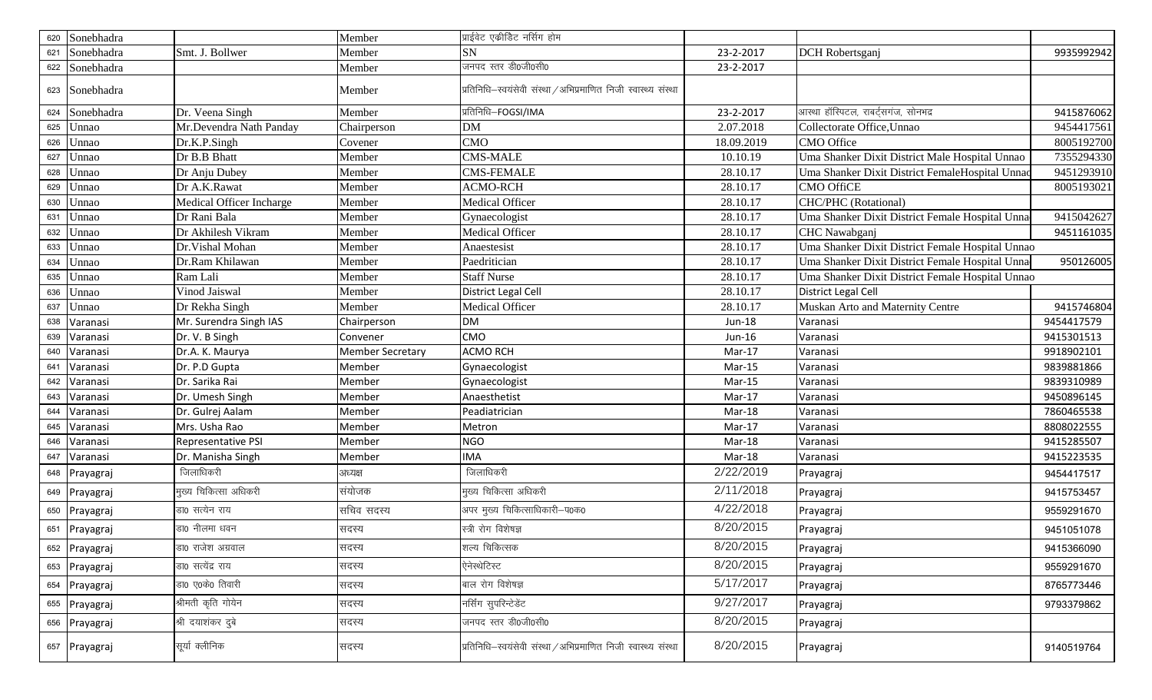| 620 | Sonebhadra     |                          | Member                  | प्राईवेट एकीडिट नर्सिग होम                                     |               |                                                  |            |
|-----|----------------|--------------------------|-------------------------|----------------------------------------------------------------|---------------|--------------------------------------------------|------------|
| 621 | Sonebhadra     | Smt. J. Bollwer          | Member                  | SN                                                             | 23-2-2017     | DCH Robertsganj                                  | 9935992942 |
|     | 622 Sonebhadra |                          | Member                  | जनपद स्तर डी0जी0सी0                                            | 23-2-2017     |                                                  |            |
|     | 623 Sonebhadra |                          | Member                  | प्रतिनिधि-स्वयंसेवी संस्था / अभिप्रमाणित निजी स्वास्थ्य संस्था |               |                                                  |            |
| 624 | Sonebhadra     | Dr. Veena Singh          | Member                  | प्रतिनिधि–FOGSI/IMA                                            | 23-2-2017     | आस्था हॉस्पिटल, राबर्ट्सगंज, सोनभद्र             | 9415876062 |
| 625 | Unnao          | Mr.Devendra Nath Panday  | Chairperson             | DM                                                             | 2.07.2018     | Collectorate Office, Unnao                       | 9454417561 |
| 626 | Unnao          | Dr.K.P.Singh             | Covener                 | <b>CMO</b>                                                     | 18.09.2019    | <b>CMO</b> Office                                | 8005192700 |
| 627 | Unnao          | Dr B.B Bhatt             | Member                  | <b>CMS-MALE</b>                                                | 10.10.19      | Uma Shanker Dixit District Male Hospital Unnao   | 7355294330 |
| 628 | Unnao          | Dr Anju Dubey            | Member                  | <b>CMS-FEMALE</b>                                              | 28.10.17      | Uma Shanker Dixit District FemaleHospital Unna   | 9451293910 |
| 629 | Unnao          | Dr A.K.Rawat             | Member                  | <b>ACMO-RCH</b>                                                | 28.10.17      | <b>CMO OffiCE</b>                                | 8005193021 |
| 630 | Unnao          | Medical Officer Incharge | Member                  | Medical Officer                                                | 28.10.17      | <b>CHC/PHC</b> (Rotational)                      |            |
| 631 | Unnao          | Dr Rani Bala             | Member                  | Gynaecologist                                                  | 28.10.17      | Uma Shanker Dixit District Female Hospital Unna  | 9415042627 |
| 632 | Unnao          | Dr Akhilesh Vikram       | Member                  | Medical Officer                                                | 28.10.17      | <b>CHC</b> Nawabganj                             | 9451161035 |
| 633 | Unnao          | Dr. Vishal Mohan         | Member                  | Anaestesist                                                    | 28.10.17      | Uma Shanker Dixit District Female Hospital Unnao |            |
| 634 | Unnao          | Dr.Ram Khilawan          | Member                  | Paedritician                                                   | 28.10.17      | Uma Shanker Dixit District Female Hospital Unna  | 950126005  |
| 635 | Unnao          | Ram Lali                 | Member                  | <b>Staff Nurse</b>                                             | 28.10.17      | Uma Shanker Dixit District Female Hospital Unnao |            |
| 636 | Unnao          | Vinod Jaiswal            | Member                  | District Legal Cell                                            | 28.10.17      | District Legal Cell                              |            |
| 637 | Unnao          | Dr Rekha Singh           | Member                  | Medical Officer                                                | 28.10.17      | Muskan Arto and Maternity Centre                 | 9415746804 |
| 638 | Varanasi       | Mr. Surendra Singh IAS   | Chairperson             | <b>DM</b>                                                      | <b>Jun-18</b> | Varanasi                                         | 9454417579 |
| 639 | Varanasi       | Dr. V. B Singh           | Convener                | <b>CMO</b>                                                     | Jun-16        | Varanasi                                         | 9415301513 |
| 640 | Varanasi       | Dr.A. K. Maurya          | <b>Member Secretary</b> | <b>ACMO RCH</b>                                                | Mar-17        | Varanasi                                         | 9918902101 |
| 641 | Varanasi       | Dr. P.D Gupta            | Member                  | Gynaecologist                                                  | Mar-15        | Varanasi                                         | 9839881866 |
| 642 | Varanasi       | Dr. Sarika Rai           | Member                  | Gynaecologist                                                  | Mar-15        | Varanasi                                         | 9839310989 |
| 643 | Varanasi       | Dr. Umesh Singh          | Member                  | Anaesthetist                                                   | $Mar-17$      | Varanasi                                         | 9450896145 |
| 644 | Varanasi       | Dr. Gulrej Aalam         | Member                  | Peadiatrician                                                  | Mar-18        | Varanasi                                         | 7860465538 |
| 645 | Varanasi       | Mrs. Usha Rao            | Member                  | Metron                                                         | Mar-17        | Varanasi                                         | 8808022555 |
| 646 | Varanasi       | Representative PSI       | Member                  | <b>NGO</b>                                                     | Mar-18        | Varanasi                                         | 9415285507 |
| 647 | Varanasi       | Dr. Manisha Singh        | Member                  | <b>IMA</b>                                                     | Mar-18        | Varanasi                                         | 9415223535 |
| 648 | Prayagraj      | जिलाधिकरी                | अध्यक्ष                 | जिलाधिकरी                                                      | 2/22/2019     | Prayagraj                                        | 9454417517 |
| 649 | Prayagraj      | मुख्य चिकित्सा अधिकरी    | संयोजक                  | मुख्य चिकित्सा अधिकरी                                          | 2/11/2018     | Prayagraj                                        | 9415753457 |
| 650 | Prayagraj      | डा0 सत्येन राय           | सचिव सदस्य              | अपर मुख्य चिकित्साधिकारी–प0क0                                  | 4/22/2018     | Prayagraj                                        | 9559291670 |
| 651 | Prayagraj      | डा0 नीलमा धवन            | सदस्य                   | स्त्री रोग विशेषज्ञ                                            | 8/20/2015     | Prayagraj                                        | 9451051078 |
|     | 652 Prayagraj  | डा0 राजेश अंग्रवाल       | सदस्य                   | शल्य चिकित्सक                                                  | 8/20/2015     | Prayagraj                                        | 9415366090 |
|     | 653 Prayagraj  | डा0 सत्येंद्र राय        | सदस्य                   | ऐनेस्थेटिस्ट                                                   | 8/20/2015     | Prayagraj                                        | 9559291670 |
|     | 654 Prayagraj  | डा0 ए0के0 तिवारी         | सदस्य                   | बाल रोग विशेषज्ञ                                               | 5/17/2017     | Prayagraj                                        | 8765773446 |
| 655 | Prayagraj      | श्रीमती कृति गोयेन       | सदस्य                   | नर्सिंग सुपरिन्टेडेंट                                          | 9/27/2017     | Prayagraj                                        | 9793379862 |
|     | 656 Prayagraj  | श्री दयाशंकर दुबे        | सदस्य                   | जनपद स्तर डी0जी0सी0                                            | 8/20/2015     | Prayagraj                                        |            |
|     | 657 Prayagraj  | सूर्या क्लीनिक           | सदस्य                   | प्रतिनिधि-स्वयंसेवी संस्था / अभिप्रमाणित निजी स्वास्थ्य संस्था | 8/20/2015     | Prayagraj                                        | 9140519764 |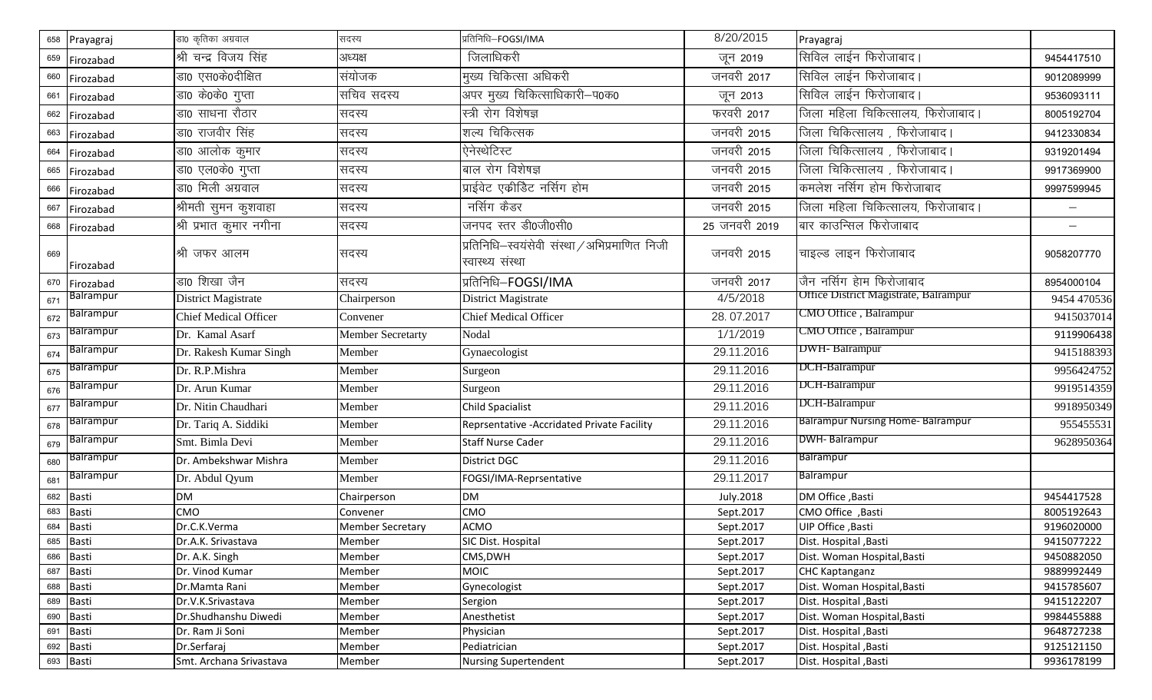| 658 | Prayagraj        | डा0 कृतिका अग्रवाल           | सदस्य                    | प्रतिनिधि-FOGSI/IMA                                               | 8/20/2015       | Prayagraj                                |                          |
|-----|------------------|------------------------------|--------------------------|-------------------------------------------------------------------|-----------------|------------------------------------------|--------------------------|
| 659 | Firozabad        | श्री चन्द्र विजय सिंह        | अध्यक्ष                  | जिलाधिकरी                                                         | जून 2019        | सिविल लाईन फिरोजाबाद।                    | 9454417510               |
| 660 | Firozabad        | डा0 एस0के0दीक्षित            | संयोजक                   | मुख्य चिकित्सा अधिकरी                                             | जनवरी 2017      | सिविल लाईन फिरोजाबाद।                    | 9012089999               |
| 661 | Firozabad        | डा0 के0के0 गुप्ता            | सचिव सदस्य               | अपर मुख्य चिकित्साधिकारी-प0क0                                     | जून 2013        | सिविल लाईन फिरोजाबाद।                    | 9536093111               |
| 662 | Firozabad        | डा0 साधना रौठार              | सदस्य                    | स्त्री रोग विशेषज्ञ                                               | फरवरी 2017      | जिला महिला चिकित्सालय, फिरोजाबाद।        | 8005192704               |
| 663 | Firozabad        | डा0 राजवीर सिंह              | सदस्य                    | शल्य चिकित्सक                                                     | जनवरी 2015      | जिला चिकित्सालय , फिरोजाबाद।             | 9412330834               |
| 664 | Firozabad        | डा0 आलोक कुमार               | सदस्य                    | ऐनेस्थेटिस्ट                                                      | जनवरी 2015      | जिला चिकित्सालय , फिरोजाबाद।             | 9319201494               |
| 665 | Firozabad        | डा0 एल0के0 गुप्ता            | सदस्य                    | बाल रोग विशेषज्ञ                                                  | जनवरी 2015      | जिला चिकित्सालय , फिरोजाबाद।             | 9917369900               |
| 666 | Firozabad        | डा0 मिली अग्रवाल             | सदस्य                    | प्राईवेट एकीडिट नर्सिग होम                                        | जनवरी 2015      | कमलेश नर्सिग होम फिरोजाबाद               | 9997599945               |
| 667 | Firozabad        | श्रीमती सुमन कुशवाहा         | सदस्य                    | नर्सिग कैडर                                                       | जनवरी 2015      | जिला महिला चिकित्सालय, फिरोजाबाद।        | $\overline{\phantom{m}}$ |
| 668 | Firozabad        | श्री प्रभात कुमार नगीना      | सदस्य                    | जनपद स्तर डी0जी0सी0                                               | 25 जनवरी 2019   | बार काउन्सिल फिरोजाबाद                   | $\overline{\phantom{m}}$ |
| 669 | Firozabad        | श्री जफर आलम                 | सदस्य                    | प्रतिनिधि–स्वयंसेवी संस्था / अभिप्रमाणित निजी<br>स्वास्थ्य संस्था | जनवरी 2015      | चाइल्ड लाइन फिरोजाबाद                    | 9058207770               |
| 670 | Firozabad        | डा0 शिखा जैन                 | सदस्य                    | प्रतिनिधि-FOGSI/IMA                                               | _<br>जनवरी 2017 | जैन नर्सिग हेाम फिरोजाबाद                | 8954000104               |
| 671 | Balrampur        | <b>District Magistrate</b>   | Chairperson              | District Magistrate                                               | 4/5/2018        | Office District Magistrate, Balrampur    | 9454 470536              |
| 672 | Balrampur        | <b>Chief Medical Officer</b> | Convener                 | <b>Chief Medical Officer</b>                                      | 28.07.2017      | CMO Office, Balrampur                    | 9415037014               |
| 673 | Balrampur        | Dr. Kamal Asarf              | <b>Member Secretarty</b> | Nodal                                                             | 1/1/2019        | CMO Office, Balrampur                    | 9119906438               |
| 674 | <b>Balrampur</b> | Dr. Rakesh Kumar Singh       | Member                   | Gynaecologist                                                     | 29.11.2016      | DWH-Balrampur                            | 9415188393               |
| 675 | <b>Balrampur</b> | Dr. R.P.Mishra               | Member                   | Surgeon                                                           | 29.11.2016      | DCH-Balrampur                            | 9956424752               |
| 676 | Balrampur        | Dr. Arun Kumar               | Member                   | Surgeon                                                           | 29.11.2016      | DCH-Balrampur                            | 9919514359               |
| 677 | Balrampur        | Dr. Nitin Chaudhari          | Member                   | <b>Child Spacialist</b>                                           | 29.11.2016      | DCH-Balrampur                            | 9918950349               |
| 678 | Balrampur        | Dr. Tariq A. Siddiki         | Member                   | Reprsentative - Accridated Private Facility                       | 29.11.2016      | <b>Balrampur Nursing Home- Balrampur</b> | 955455531                |
| 679 | Balrampur        | Smt. Bimla Devi              | Member                   | <b>Staff Nurse Cader</b>                                          | 29.11.2016      | DWH-Balrampur                            | 9628950364               |
| 680 | Balrampur        | Dr. Ambekshwar Mishra        | Member                   | <b>District DGC</b>                                               | 29.11.2016      | <b>Balrampur</b>                         |                          |
| 681 | Balrampur        | Dr. Abdul Qyum               | Member                   | FOGSI/IMA-Reprsentative                                           | 29.11.2017      | <b>Balrampur</b>                         |                          |
|     | 682 Basti        | <b>DM</b>                    | Chairperson              | <b>DM</b>                                                         | July.2018       | DM Office, Basti                         | 9454417528               |
| 683 | Basti            | CMO                          | Convener                 | CMO                                                               | Sept.2017       | CMO Office, Basti                        | 8005192643               |
| 684 | <b>Basti</b>     | Dr.C.K.Verma                 | <b>Member Secretary</b>  | <b>ACMO</b>                                                       | Sept.2017       | UIP Office, Basti                        | 9196020000               |
|     | 685 Basti        | Dr.A.K. Srivastava           | Member                   | SIC Dist. Hospital                                                | Sept.2017       | Dist. Hospital , Basti                   | 9415077222               |
|     | 686 Basti        | Dr. A.K. Singh               | Member                   | CMS, DWH                                                          | Sept.2017       | Dist. Woman Hospital, Basti              | 9450882050               |
|     | 687 Basti        | Dr. Vinod Kumar              | Member                   | <b>MOIC</b>                                                       | Sept.2017       | <b>CHC Kaptanganz</b>                    | 9889992449               |
|     | 688 Basti        | Dr.Mamta Rani                | Member                   | Gynecologist                                                      | Sept.2017       | Dist. Woman Hospital, Basti              | 9415785607               |
|     | 689 Basti        | Dr.V.K.Srivastava            | Member                   | Sergion                                                           | Sept.2017       | Dist. Hospital , Basti                   | 9415122207               |
|     | 690 Basti        | Dr.Shudhanshu Diwedi         | Member                   | Anesthetist                                                       | Sept.2017       | Dist. Woman Hospital, Basti              | 9984455888               |
|     | 691 Basti        | Dr. Ram Ji Soni              | Member                   | Physician                                                         | Sept.2017       | Dist. Hospital , Basti                   | 9648727238               |
|     | 692 Basti        | Dr.Serfaraj                  | Member                   | Pediatrician                                                      | Sept.2017       | Dist. Hospital, Basti                    | 9125121150               |
|     | 693 Basti        | Smt. Archana Srivastava      | Member                   | <b>Nursing Supertendent</b>                                       | Sept.2017       | Dist. Hospital, Basti                    | 9936178199               |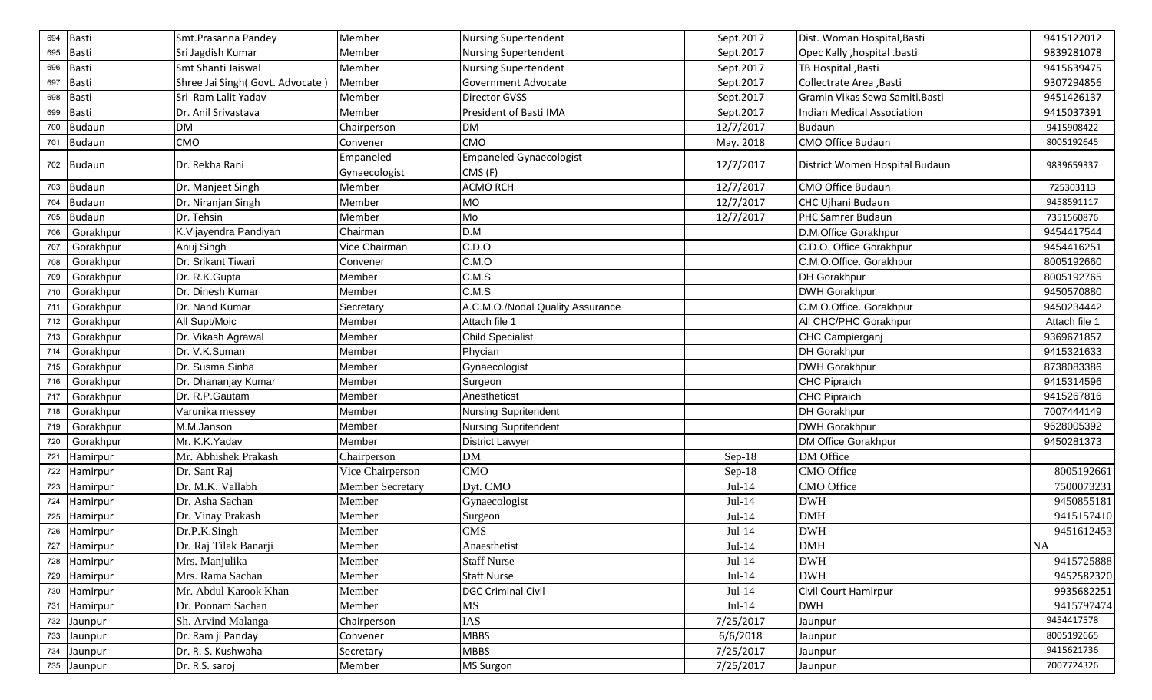| 694 | <b>Basti</b>  | Smt.Prasanna Pandey              | Member                  | <b>Nursing Supertendent</b>      | Sept.2017 | Dist. Woman Hospital, Basti     | 9415122012    |
|-----|---------------|----------------------------------|-------------------------|----------------------------------|-----------|---------------------------------|---------------|
| 695 | <b>Basti</b>  | Sri Jagdish Kumar                | Member                  | <b>Nursing Supertendent</b>      | Sept.2017 | Opec Kally , hospital .basti    | 9839281078    |
| 696 | <b>Basti</b>  | Smt Shanti Jaiswal               | Member                  | <b>Nursing Supertendent</b>      | Sept.2017 | TB Hospital, Basti              | 9415639475    |
| 697 | Basti         | Shree Jai Singh (Govt. Advocate) | Member                  | Government Advocate              | Sept.2017 | Collectrate Area , Basti        | 9307294856    |
| 698 | <b>Basti</b>  | Sri Ram Lalit Yadav              | Member                  | Director GVSS                    | Sept.2017 | Gramin Vikas Sewa Samiti, Basti | 9451426137    |
| 699 | Basti         | Dr. Anil Srivastava              | Member                  | President of Basti IMA           | Sept.2017 | Indian Medical Association      | 9415037391    |
| 700 | <b>Budaun</b> | DM                               | Chairperson             | <b>DM</b>                        | 12/7/2017 | <b>Budaun</b>                   | 9415908422    |
| 701 | <b>Budaun</b> | CMO                              | Convener                | <b>CMO</b>                       | May. 2018 | CMO Office Budaun               | 8005192645    |
|     | 702 Budaun    | Dr. Rekha Rani                   | Empaneled               | <b>Empaneled Gynaecologist</b>   | 12/7/2017 | District Women Hospital Budaun  | 9839659337    |
|     |               |                                  | Gynaecologist           | CMS (F)                          |           |                                 |               |
|     | 703 Budaun    | Dr. Manjeet Singh                | Member                  | <b>ACMO RCH</b>                  | 12/7/2017 | <b>CMO Office Budaun</b>        | 725303113     |
| 704 | <b>Budaun</b> | Dr. Niranjan Singh               | Member                  | MO                               | 12/7/2017 | CHC Ujhani Budaun               | 9458591117    |
| 705 | <b>Budaun</b> | Dr. Tehsin                       | Member                  | Mo                               | 12/7/2017 | PHC Samrer Budaun               | 7351560876    |
| 706 | Gorakhpur     | K.Vijayendra Pandiyan            | Chairman                | D.M                              |           | D.M.Office Gorakhpur            | 9454417544    |
| 707 | Gorakhpur     | Anuj Singh                       | Vice Chairman           | C.D.O                            |           | C.D.O. Office Gorakhpur         | 9454416251    |
| 708 | Gorakhpur     | Dr. Srikant Tiwari               | Convener                | C.M.O                            |           | C.M.O.Office. Gorakhpur         | 8005192660    |
| 709 | Gorakhpur     | Dr. R.K.Gupta                    | Member                  | C.M.S                            |           | <b>DH Gorakhpur</b>             | 8005192765    |
| 710 | Gorakhpur     | Dr. Dinesh Kumar                 | Member                  | C.M.S                            |           | <b>DWH Gorakhpur</b>            | 9450570880    |
| 711 | Gorakhpur     | Dr. Nand Kumar                   | Secretary               | A.C.M.O./Nodal Quality Assurance |           | C.M.O.Office. Gorakhpur         | 9450234442    |
| 712 | Gorakhpur     | All Supt/Moic                    | Member                  | Attach file 1                    |           | All CHC/PHC Gorakhpur           | Attach file 1 |
| 713 | Gorakhpur     | Dr. Vikash Agrawal               | Member                  | <b>Child Specialist</b>          |           | CHC Campierganj                 | 9369671857    |
| 714 | Gorakhpur     | Dr. V.K.Suman                    | Member                  | Phycian                          |           | <b>DH Gorakhpur</b>             | 9415321633    |
| 715 | Gorakhpur     | Dr. Susma Sinha                  | Member                  | Gynaecologist                    |           | <b>DWH Gorakhpur</b>            | 8738083386    |
| 716 | Gorakhpur     | Dr. Dhananjay Kumar              | Member                  | Surgeon                          |           | <b>CHC Pipraich</b>             | 9415314596    |
| 717 | Gorakhpur     | Dr. R.P.Gautam                   | Member                  | Anestheticst                     |           | <b>CHC Pipraich</b>             | 9415267816    |
| 718 | Gorakhpur     | Varunika messey                  | Member                  | <b>Nursing Supritendent</b>      |           | <b>DH</b> Gorakhpur             | 7007444149    |
| 719 | Gorakhpur     | M.M.Janson                       | Member                  | <b>Nursing Supritendent</b>      |           | <b>DWH Gorakhpur</b>            | 9628005392    |
| 720 | Gorakhpur     | Mr. K.K.Yadav                    | Member                  | <b>District Lawyer</b>           |           | <b>DM Office Gorakhpur</b>      | 9450281373    |
| 721 | Hamirpur      | Mr. Abhishek Prakash             | Chairperson             | DM                               | $Sep-18$  | DM Office                       |               |
|     | 722 Hamirpur  | Dr. Sant Raj                     | Vice Chairperson        | <b>CMO</b>                       | $Sep-18$  | <b>CMO</b> Office               | 8005192661    |
|     | 723 Hamirpur  | Dr. M.K. Vallabh                 | <b>Member Secretary</b> | Dyt. CMO                         | $Jul-14$  | <b>CMO</b> Office               | 7500073231    |
|     | 724 Hamirpur  | Dr. Asha Sachan                  | Member                  | Gynaecologist                    | $Jul-14$  | <b>DWH</b>                      | 9450855181    |
|     | 725 Hamirpur  | Dr. Vinay Prakash                | Member                  | Surgeon                          | $Jul-14$  | <b>DMH</b>                      | 9415157410    |
|     | 726 Hamirpur  | Dr.P.K.Singh                     | Member                  | <b>CMS</b>                       | $Jul-14$  | <b>DWH</b>                      | 9451612453    |
|     | 727 Hamirpur  | Dr. Raj Tilak Banarji            | Member                  | Anaesthetist                     | $Jul-14$  | <b>DMH</b>                      | NA            |
|     | 728 Hamirpur  | Mrs. Manjulika                   | Member                  | <b>Staff Nurse</b>               | $Jul-14$  | <b>DWH</b>                      | 9415725888    |
|     | 729 Hamirpur  | Mrs. Rama Sachan                 | Member                  | Staff Nurse                      | $Jul-14$  | <b>DWH</b>                      | 9452582320    |
|     | 730 Hamirpur  | Mr. Abdul Karook Khan            | Member                  | <b>DGC Criminal Civil</b>        | $Jul-14$  | Civil Court Hamirpur            | 9935682251    |
|     | 731 Hamirpur  | Dr. Poonam Sachan                | Member                  | <b>MS</b>                        | $Jul-14$  | <b>DWH</b>                      | 9415797474    |
|     | 732 Jaunpur   | Sh. Arvind Malanga               | Chairperson             | IAS                              | 7/25/2017 | Jaunpur                         | 9454417578    |
|     | 733 Jaunpur   | Dr. Ram ji Panday                | Convener                | <b>MBBS</b>                      | 6/6/2018  | Jaunpur                         | 8005192665    |
|     | 734 Jaunpur   | Dr. R. S. Kushwaha               | Secretary               | <b>MBBS</b>                      | 7/25/2017 | Jaunpur                         | 9415621736    |
|     | 735 Jaunpur   | Dr. R.S. saroj                   | Member                  | <b>MS Surgon</b>                 | 7/25/2017 | Jaunpur                         | 7007724326    |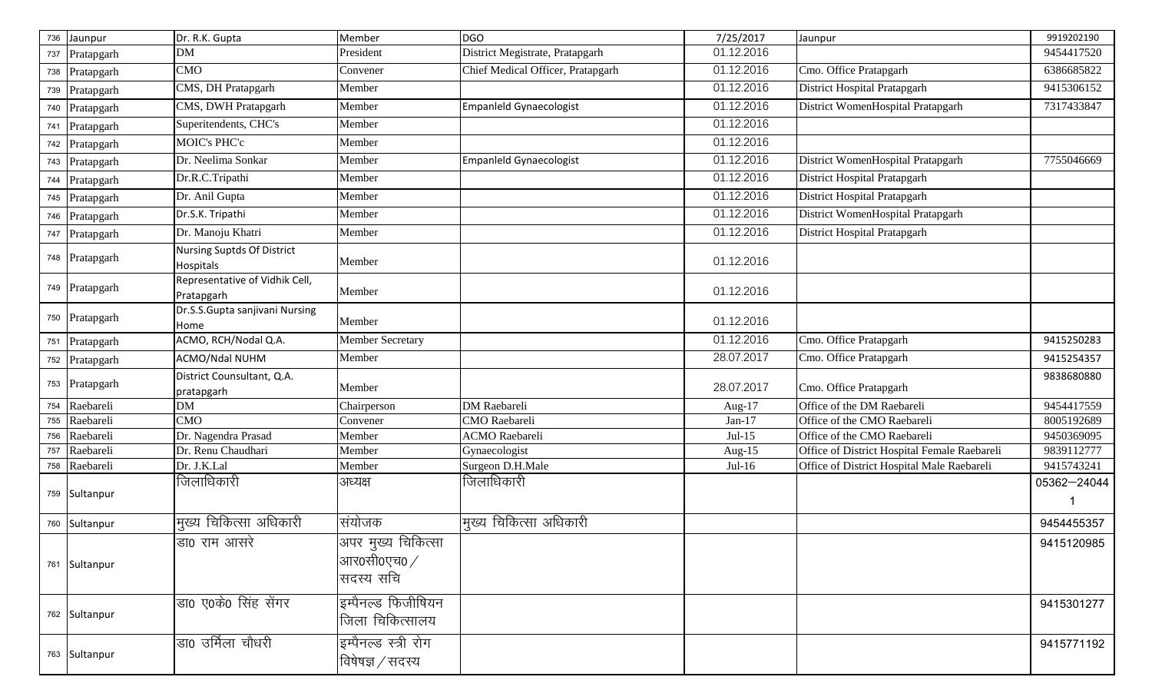| 736 | Jaunpur        | Dr. R.K. Gupta                               | Member                                                     | <b>DGO</b>                        | 7/25/2017  | Jaunpur                                      | 9919202190  |
|-----|----------------|----------------------------------------------|------------------------------------------------------------|-----------------------------------|------------|----------------------------------------------|-------------|
| 737 | Pratapgarh     | DΜ                                           | President                                                  | District Megistrate, Pratapgarh   | 01.12.2016 |                                              | 9454417520  |
| 738 | Pratapgarh     | <b>CMO</b>                                   | Convener                                                   | Chief Medical Officer, Pratapgarh | 01.12.2016 | Cmo. Office Pratapgarh                       | 6386685822  |
|     | 739 Pratapgarh | CMS, DH Pratapgarh                           | Member                                                     |                                   | 01.12.2016 | District Hospital Pratapgarh                 | 9415306152  |
|     | 740 Pratapgarh | CMS, DWH Pratapgarh                          | Member                                                     | Empanleld Gynaecologist           | 01.12.2016 | District WomenHospital Pratapgarh            | 7317433847  |
| 741 | Pratapgarh     | Superitendents, CHC's                        | Member                                                     |                                   | 01.12.2016 |                                              |             |
|     | 742 Pratapgarh | <b>MOIC's PHC'c</b>                          | Member                                                     |                                   | 01.12.2016 |                                              |             |
|     | 743 Pratapgarh | Dr. Neelima Sonkar                           | Member                                                     | <b>Empanield Gynaecologist</b>    | 01.12.2016 | District WomenHospital Pratapgarh            | 7755046669  |
|     | 744 Pratapgarh | Dr.R.C.Tripathi                              | Member                                                     |                                   | 01.12.2016 | <b>District Hospital Pratapgarh</b>          |             |
|     | 745 Pratapgarh | Dr. Anil Gupta                               | Member                                                     |                                   | 01.12.2016 | District Hospital Pratapgarh                 |             |
|     | 746 Pratapgarh | Dr.S.K. Tripathi                             | Member                                                     |                                   | 01.12.2016 | District WomenHospital Pratapgarh            |             |
|     | 747 Pratapgarh | Dr. Manoju Khatri                            | Member                                                     |                                   | 01.12.2016 | District Hospital Pratapgarh                 |             |
|     | 748 Pratapgarh | Nursing Suptds Of District<br>Hospitals      | Member                                                     |                                   | 01.12.2016 |                                              |             |
|     | 749 Pratapgarh | Representative of Vidhik Cell,<br>Pratapgarh | Member                                                     |                                   | 01.12.2016 |                                              |             |
|     | 750 Pratapgarh | Dr.S.S.Gupta sanjivani Nursing<br>Home       | Member                                                     |                                   | 01.12.2016 |                                              |             |
|     | 751 Pratapgarh | ACMO, RCH/Nodal Q.A.                         | Member Secretary                                           |                                   | 01.12.2016 | Cmo. Office Pratapgarh                       | 9415250283  |
|     | 752 Pratapgarh | ACMO/Ndal NUHM                               | Member                                                     |                                   | 28.07.2017 | Cmo. Office Pratapgarh                       | 9415254357  |
|     | 753 Pratapgarh | District Counsultant, Q.A.<br>pratapgarh     | Member                                                     |                                   | 28.07.2017 | Cmo. Office Pratapgarh                       | 9838680880  |
| 754 | Raebareli      | <b>DM</b>                                    | Chairperson                                                | <b>DM</b> Raebareli               | Aug-17     | Office of the DM Raebareli                   | 9454417559  |
|     | 755 Raebareli  | <b>CMO</b>                                   | Convener                                                   | <b>CMO</b> Raebareli              | Jan- $17$  | Office of the CMO Raebareli                  | 8005192689  |
|     | 756 Raebareli  | Dr. Nagendra Prasad                          | Member                                                     | <b>ACMO</b> Raebareli             | $Jul-15$   | Office of the CMO Raebareli                  | 9450369095  |
| 757 | Raebareli      | Dr. Renu Chaudhari                           | Member                                                     | Gynaecologist                     | Aug-15     | Office of District Hospital Female Raebareli | 9839112777  |
|     | 758 Raebareli  | Dr. J.K.Lal                                  | Member                                                     | Surgeon D.H.Male                  | $Jul-16$   | Office of District Hospital Male Raebareli   | 9415743241  |
|     | 759 Sultanpur  | जिलाधिकारी                                   | अध्यक्ष                                                    | जिलाधिकारी                        |            |                                              | 05362-24044 |
|     | 760 Sultanpur  | मुख्य चिकित्सा अधिकारी                       | संयोजक                                                     | मुख्य चिकित्सा अधिकारी            |            |                                              | 9454455357  |
|     | 761 Sultanpur  | डा0 राम आसरे                                 | अपर मुख्य चिकित्सा<br>आर0सी0एच0 $\mathbin{/}$<br>सदस्य सचि |                                   |            |                                              | 9415120985  |
|     | 762 Sultanpur  | डा0 ए0के0 सिंह सेंगर                         | इम्पैनल्ड फिजीषियन<br>जिला चिकित्सालय                      |                                   |            |                                              | 9415301277  |
|     | 763 Sultanpur  | डा0 उर्मिला चौधरी                            | इम्पैनल्ड स्त्री रोग<br>विषेषज्ञ / सदस्य                   |                                   |            |                                              | 9415771192  |